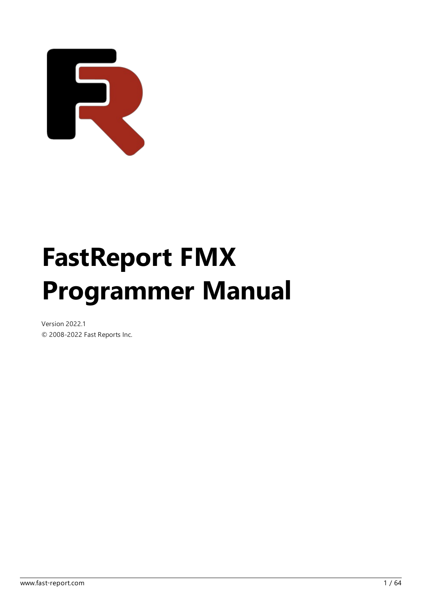

# FastReport FMX Programmer Manual

Version 2022.1 © 2008-2022 Fast Reports Inc.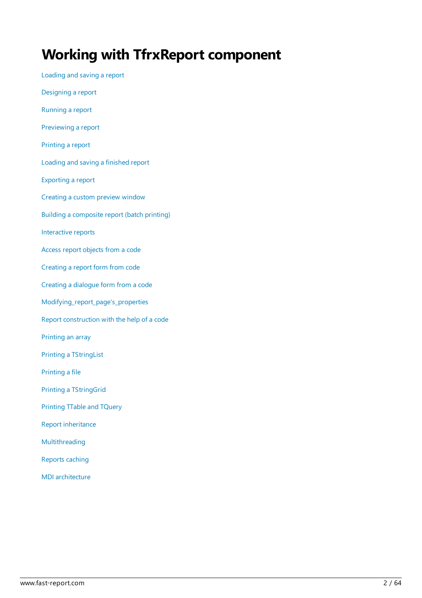#### Working with TfrxReport component

[Loading](#page-2-0) and saving a report [Designing](#page-3-0) a report [Running](#page-4-0) a report [Previewing](#page-5-0) a report [Printing](#page-6-0) a report [Loading](#page-7-0) and saving a finished report [Exporting](#page-8-0) a report [Creating](#page-9-0) a custom preview window Building a composite report (batch printing) Interactive reports Access report [objects](#page-15-0) from a code [Creating](#page-17-0) a report form from code Creating a dialogue form from a code [Modifying\\_report\\_page's\\_properties](#page-22-0) Report [construction](#page-24-0) with the help of a code [Printing](#page-27-0) an array Printing a TStringList [Printing](#page-29-0) a file Printing a TStringGrid Printing TTable and TQuery Report [inheritance](#page-33-0) [Multithreading](#page-35-0) [Reports](#page-36-0) caching [MDIarchitecture](#page-37-0)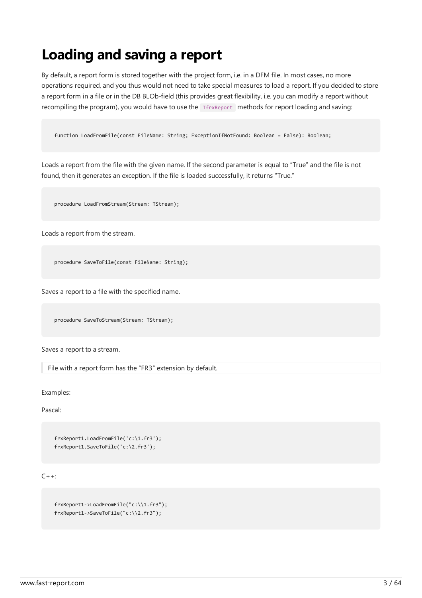### <span id="page-2-0"></span>Loading and saving a report

By default, a report form is stored together with the project form, i.e. in a DFM file. In most cases, no more operations required, and you thus would not need to take special measures to load a report. If you decided to store a report form in a file or in the DB BLOb-field (this provides great flexibility, i.e. you can modify a report without recompiling the program), you would have to use the Ten all methods for report loading and saving:

function LoadFromFile(const FileName: String; ExceptionIfNotFound: Boolean = False): Boolean;

Loads a report from the file with the given name. If the second parameter is equal to "True" and the file is not found, then it generates an exception. If the file is loaded successfully, it returns "True."

procedure LoadFromStream(Stream: TStream);

Loads a report from the stream.

procedure SaveToFile(const FileName: String);

Saves a report to a file with the specified name.

procedure SaveToStream(Stream: TStream);

Saves a report to a stream.

File with a report form has the"FR3" extension by default.

Examples:

Pascal:

```
frxReport1.LoadFromFile('c:\1.fr3');
frxReport1.SaveToFile('c:\2.fr3');
```
 $C++:$ 

frxReport1->LoadFromFile("c:\\1.fr3"); frxReport1->SaveToFile("c:\\2.fr3");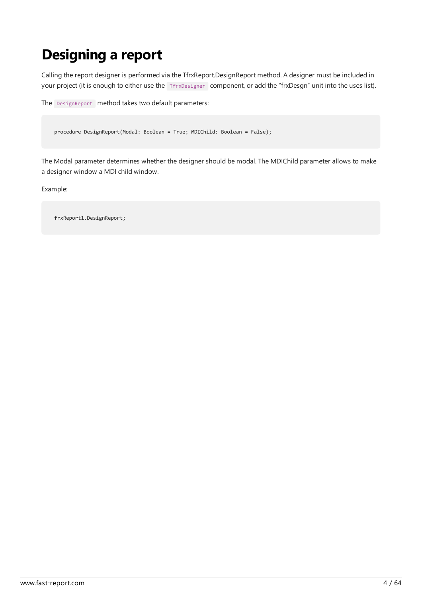### <span id="page-3-0"></span>Designing a report

Calling the report designer is performed via the TfrxReport.DesignReport method. A designer must be included in your project (it is enough to either use the TfrxDesigner component, or add the "frxDesgn" unit into the uses list).

```
The DesignReport method takes two default parameters:
```
procedure DesignReport(Modal: Boolean = True; MDIChild: Boolean = False);

The Modal parameter determines whether the designer should be modal.The MDIChild parameter allows to make a designer window a MDI child window.

Example:

frxReport1.DesignReport;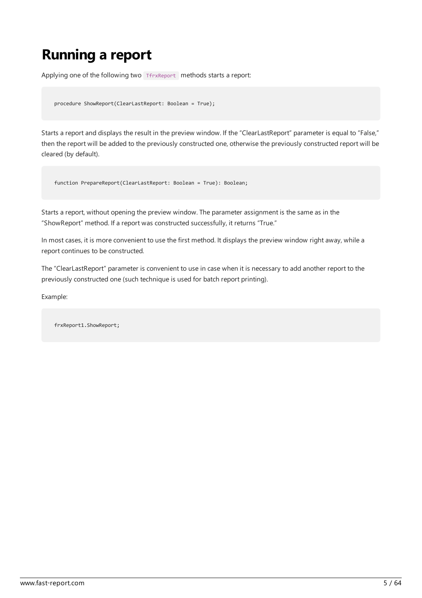# <span id="page-4-0"></span>Running a report

Applying one of the following two TfrxReport methods starts a report:

```
procedure ShowReport(ClearLastReport: Boolean = True);
```
Starts a report and displays the result in the preview window. If the "ClearLastReport" parameter is equal to "False," then the report will be added to the previously constructed one, otherwise the previously constructed report will be cleared (by default).

function PrepareReport(ClearLastReport: Boolean = True): Boolean;

Starts a report, without opening the preview window. The parameter assignment is the same as in the "ShowReport" method. If a report was constructed successfully, it returns "True."

In most cases, it is more convenient to use the first method. It displays the preview window right away, while a report continues to be constructed.

The "ClearLastReport" parameter is convenient to use in case when it is necessary to add another report to the previously constructed one (such technique is used for batch report printing).

Example:

frxReport1.ShowReport;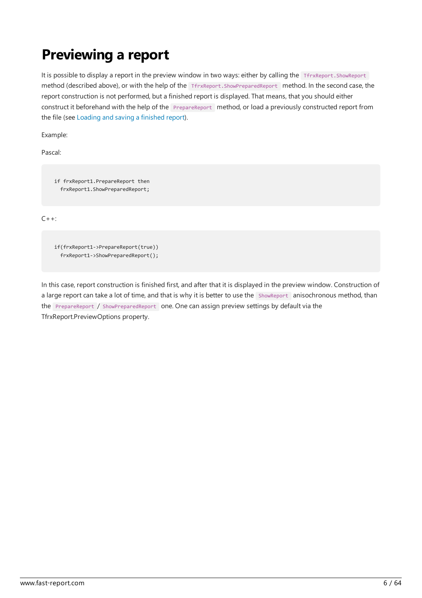# <span id="page-5-0"></span>Previewing a report

It is possible to display a report in the preview window in two ways: either by calling the TfrxReport. ShowReport method (described above), or with the help of the TfrxReport.ShowPreparedReport method. In the second case, the report construction is not performed, but a finished report is displayed. That means, that you should either construct it beforehand with the help of the PrepareReport method, or load a previously constructed report from the file (see [Loading](#page-7-0) and saving a finished report).

Example:

Pascal:

if frxReport1.PrepareReport then frxReport1.ShowPreparedReport;

 $C++:$ 

if(frxReport1->PrepareReport(true)) frxReport1->ShowPreparedReport();

In this case, report construction is finished first, and after that it is displayed in the preview window. Construction of a large report can take a lot of time, and that is why it is better to use the ShowReport anisochronous method, than the PrepareReport / ShowPreparedReport one. One can assign preview settings by default via the TfrxReport.PreviewOptions property.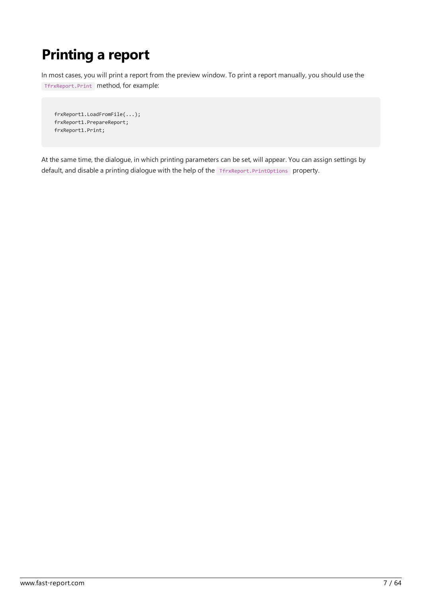# <span id="page-6-0"></span>Printing a report

In most cases, you will print a report from the preview window. To print a report manually, you should use the TfrxReport.Print method, for example:

```
frxReport1.LoadFromFile(...);
frxReport1.PrepareReport;
frxReport1.Print;
```
At the same time, the dialogue, in which printing parameters can be set, will appear. You can assign settings by default, and disable a printing dialogue with the help of the TfrxReport.PrintOptions property.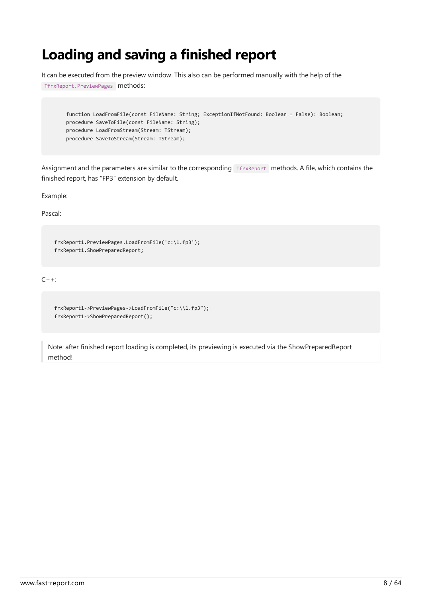#### <span id="page-7-0"></span>Loading and saving a finished report

It can be executed from the preview window. This also can be performed manually with the help of the

TfrxReport.PreviewPages methods:

```
function LoadFromFile(const FileName: String; ExceptionIfNotFound: Boolean = False): Boolean;
procedure SaveToFile(const FileName: String);
procedure LoadFromStream(Stream: TStream);
procedure SaveToStream(Stream: TStream);
```
Assignment and the parameters are similar to the corresponding TfrxReport methods. A file, which contains the finished report, has "FP3" extension by default.

Example:

Pascal:

```
frxReport1.PreviewPages.LoadFromFile('c:\1.fp3');
frxReport1.ShowPreparedReport;
```
 $C_{++}$ :

```
frxReport1->PreviewPages->LoadFromFile("c:\\1.fp3");
frxReport1->ShowPreparedReport();
```
Note: after finished report loading is completed, its previewing is executed via the ShowPreparedReport method!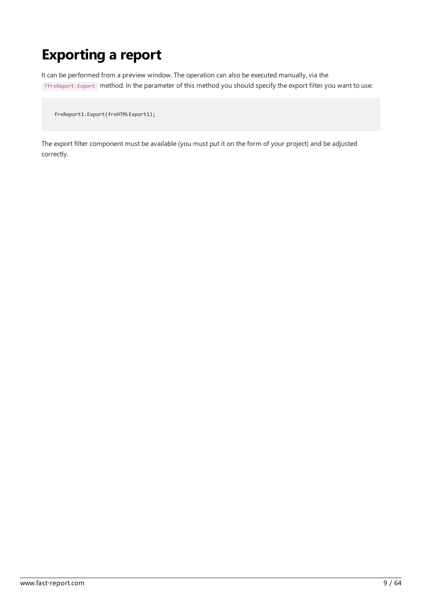### <span id="page-8-0"></span>Exporting a report

It can be performed from a preview window. The operation can also be executed manually, via the TfrxReport.Export method. In the parameter of this method you should specify the export filter you want to use:

frxReport1.Export(frxHTMLExport1);

The export filter component must be available (you must put it on the form of your project) and be adjusted correctly.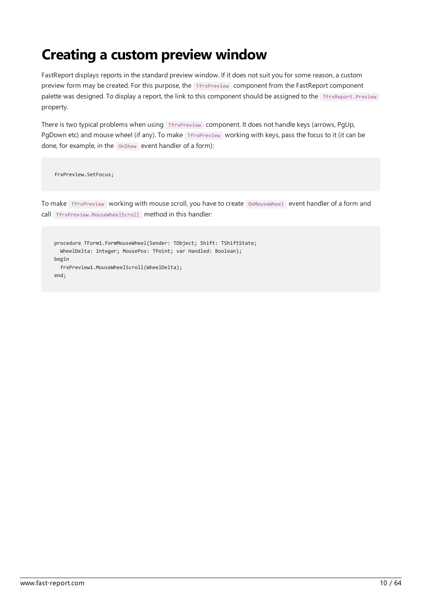### <span id="page-9-0"></span>Creating a custom preview window

FastReport displays reports in the standard preview window. If it does not suit you for some reason, a custom preview form may be created. For this purpose, the TfrxPreview component from the FastReport component palette was designed. To display a report, the link to this component should be assigned to the TfrxReport.Preview property.

There is two typical problems when using TfrxPreview component. It does not handle keys (arrows, PgUp, PgDown etc) and mouse wheel (if any). To make TfrxPreview working with keys, pass the focus to it (it can be done, for example, in the OnShow event handler of a form):

frxPreview.SetFocus;

To make TfrxPreview working with mouse scroll, you have to create OnMouseWheel event handler of a form and call TfrxPreview.MouseWheelScroll method in this handler:

procedure TForm1.FormMouseWheel(Sender: TObject; Shift: TShiftState; WheelDelta: Integer; MousePos: TPoint; var Handled: Boolean); begin frxPreview1.MouseWheelScroll(WheelDelta); end;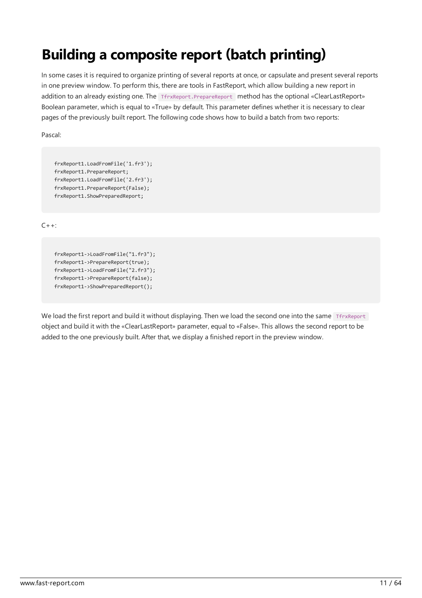# <span id="page-10-0"></span>Building a composite report (batch printing)

In some cases it is required to organize printing of several reports at once, or capsulate and present several reports in one preview window. To perform this, there are tools in FastReport, which allow building a new report in addition to an already existing one. The TfrxReport.PrepareReport method has the optional «ClearLastReport» Boolean parameter, which is equal to «True» by default.This parameter defines whether it is necessary to clear pages of the previously built report. The following code shows how to build a batch from two reports:

Pascal:

```
frxReport1.LoadFromFile('1.fr3');
frxReport1.PrepareReport;
frxReport1.LoadFromFile('2.fr3');
frxReport1.PrepareReport(False);
frxReport1.ShowPreparedReport;
```
 $C++:$ 

```
frxReport1->LoadFromFile("1.fr3");
frxReport1->PrepareReport(true);
frxReport1->LoadFromFile("2.fr3");
frxReport1->PrepareReport(false);
frxReport1->ShowPreparedReport();
```
We load the first report and build it without displaying. Then we load the second one into the same TfrxReport object and build it with the «ClearLastReport» parameter, equal to «False». This allows the second report to be added to the one previously built. After that, we display a finished report in the preview window.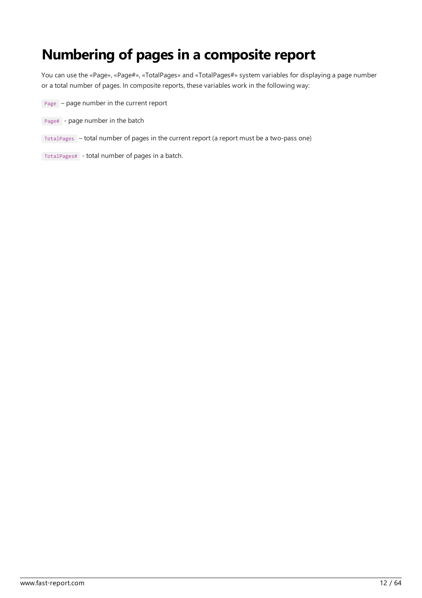#### Numbering of pages in a composite report

You can usethe«Page»,«Page#»,«TotalPages» and «TotalPages#» system variables for displaying a page number or a total number of pages. In composite reports, these variables work in the following way:

- $Page page number in the current report$
- Page# page number in the batch
- TotalPages total number of pages in the current report (a report must be a two-pass one)
- TotalPages# total number of pages in a batch.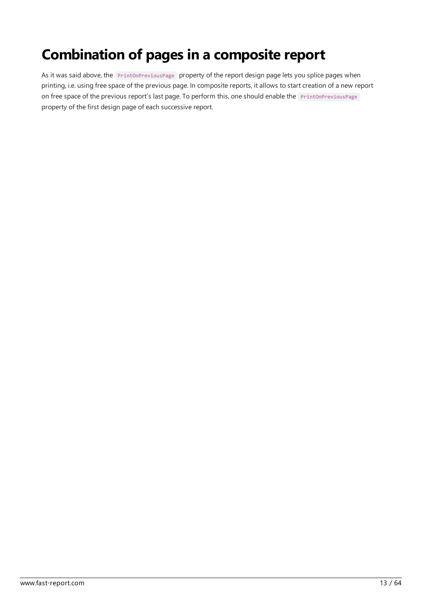# Combination of pages in a composite report

As it was said above, the **PrintOnPreviousPage** property of the report design page lets you splice pages when printing, i.e. using free space of the previous page. In composite reports, it allows to start creation of a new report on free space of the previous report's last page. To perform this, one should enable the PrintOnPreviousPage property of the first design page of each successive report.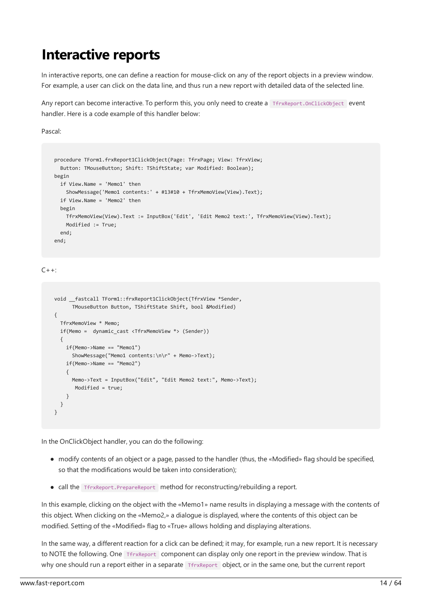#### <span id="page-13-0"></span>Interactive reports

In interactive reports, one can define a reaction for mouse-click on any of the report objects in a preview window. For example, a user can click on the data line, and thus run a new report with detailed data of the selected line.

Any report can become interactive. To perform this, you only need to create a TfrxReport.OnClickObject event handler. Here is a code example of this handler below:

Pascal:

```
procedure TForm1.frxReport1ClickObject(Page: TfrxPage; View: TfrxView;
 Button: TMouseButton; Shift: TShiftState; var Modified: Boolean);
begin
 if View.Name = 'Memo1' then
   ShowMessage('Memo1 contents:' + #13#10 + TfrxMemoView(View).Text);
 if View.Name = 'Memo2' then
 begin
   TfrxMemoView(View).Text := InputBox('Edit', 'Edit Memo2 text:', TfrxMemoView(View).Text);
   Modified := True;
 end;
end;
```
 $C_{++}$ :

```
void __fastcall TForm1::frxReport1ClickObject(TfrxView *Sender,
      TMouseButton Button, TShiftState Shift, bool &Modified)
{
  TfrxMemoView * Memo;
  if(Memo = dynamic_cast <TfrxMemoView *> (Sender))
 {
   if(Memo->Name == "Memo1")
     ShowMessage("Memo1 contents:\n\r" + Memo->Text);
    if(Memo->Name == "Memo2")
    {
     Memo->Text = InputBox("Edit", "Edit Memo2 text:", Memo->Text);
      Modified = true;
    }
 }
}
```
In the OnClickObject handler, you can do the following:

- modify contents of an object or a page, passed to the handler (thus, the «Modified» flag should be specified, so that the modifications would be taken into consideration);
- call the TfrxReport.PrepareReport method for reconstructing/rebuilding a report.

In this example, clicking on the object with the «Memo1» name results in displaying a message with the contents of this object. When clicking on the «Memo2,» a dialogue is displayed, where the contents of this object can be modified.Setting of the«Modified» flag to «True» allows holding and displaying alterations.

In the same way, a different reaction for a click can be defined; it may, for example, run a new report. It is necessary to NOTE the following. One TfrxReport component can display only one report in the preview window. That is why one should run a report either in a separate TfrxReport object, or in the same one, but the current report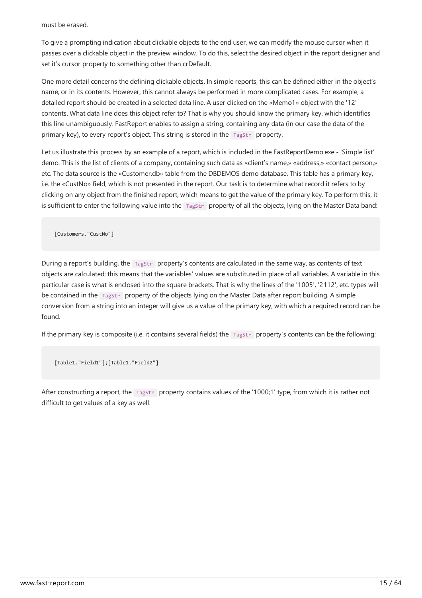#### must be erased.

To give a prompting indication about clickable objects to the end user, we can modify the mouse cursor when it passes over a clickable object in the preview window.To do this, select the desired object in thereport designer and set it's cursor property to something other than crDefault.

One more detail concerns the defining clickable objects. In simplereports, this can be defined either in the object's name, or in its contents. However, this cannot always be performed in more complicated cases. For example, a detailed report should be created in a selected data line. A user clicked on the «Memo1» object with the '12' contents.What data line does this object refer to?That is why you should know the primary key, which identifies this line unambiguously. FastReport enables to assign a string, containing any data (in our case the data of the primary key), to every report's object. This string is stored in the Tagstr property.

Let us illustrate this process by an example of a report, which is included in the FastReportDemo.exe - 'Simple list' demo. This is the list of clients of a company, containing such data as «client's name,» «address,» «contact person,» etc. The data source is the «Customer.db» table from the DBDEMOS demo database. This table has a primary key, i.e. the «CustNo» field, which is not presented in the report. Our task is to determine what record it refers to by clicking on any object from the finished report, which means to get the value of the primary key. To perform this, it is sufficient to enter the following value into the TagStr property of all the objects, lying on the Master Data band:

```
[Customers."CustNo"]
```
During a report's building, the TagStr property's contents are calculated in the same way, as contents of text objects are calculated; this means that the variables' values are substituted in place of all variables. A variable in this particular case is what is enclosed into the square brackets. That is why the lines of the '1005', '2112', etc. types will be contained in the TagStr property of the objects lying on the Master Data after report building. A simple conversion from a string into an integer will give us a value of the primary key, with which a required record can be found.

If the primary key is composite (i.e. it contains several fields) the  $Tagstr$  property's contents can be the following:

[Table1."Field1"];[Table1."Field2"]

After constructing a report, the TagStr property contains values of the '1000;1' type, from which it is rather not difficult to getvalues of a key as well.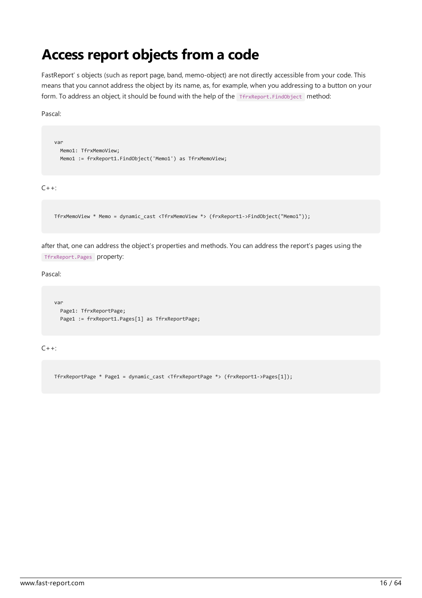#### <span id="page-15-0"></span>Access report objects from a code

FastReport' s objects (such as report page, band, memo-object) are not directly accessible from your code. This means that you cannot address the object by its name, as, for example, when you addressing to a button on your form. To address an object, it should be found with the help of the TfrxReport.FindObject method:

Pascal:

```
var
 Memo1: TfrxMemoView;
 Memo1 := frxReport1.FindObject('Memo1') as TfrxMemoView;
```
 $C_{++}$ :

```
TfrxMemoView * Memo = dynamic_cast <TfrxMemoView *> (frxReport1->FindObject("Memo1"));
```
after that, one can address the object's properties and methods. You can address the report's pages using the TfrxReport.Pages property:

Pascal:

```
var
 Page1: TfrxReportPage;
 Page1 := frxReport1.Pages[1] as TfrxReportPage;
```
 $C++$ :

TfrxReportPage \* Page1 = dynamic\_cast <TfrxReportPage \*> (frxReport1->Pages[1]);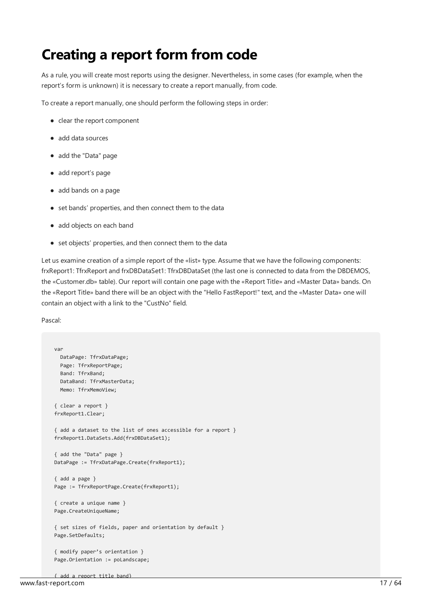#### Creating a report form from code

As a rule, you will create most reports using the designer. Nevertheless, in some cases (for example, when the report's form is unknown) it is necessary to create a report manually, from code.

To create a report manually, one should perform the following steps in order:

- $\bullet$  clear the report component
- add data sources
- add the "Data" page
- add report's page
- add bands on a page
- set bands' properties, and then connect them to the data
- add objects on each band
- set objects' properties, and then connect them to the data

Let us examine creation of a simple report of the «list» type. Assume that we have the following components: frxReport1: TfrxReport and frxDBDataSet1: TfrxDBDataSet (the last one is connected to data from the DBDEMOS, the «Customer.db» table). Our report will contain one page with the «Report Title» and «Master Data» bands. On the «Report Title» band there will be an object with the "Hello FastReport!" text, and the «Master Data» one will contain an object with a link to the"CustNo" field.

Pascal:

```
var
 DataPage: TfrxDataPage;
 Page: TfrxReportPage;
 Band: TfrxBand;
 DataBand: TfrxMasterData;
 Memo: TfrxMemoView;
{ clear a report }
frxReport1.Clear;
{ add a dataset to the list of ones accessible for a report }
frxReport1.DataSets.Add(frxDBDataSet1);
{ add the "Data" page }
DataPage := TfrxDataPage.Create(frxReport1);
{ add a page }
Page := TfrxReportPage.Create(frxReport1);
{ create a unique name }
Page.CreateUniqueName;
{ set sizes of fields, paper and orientation by default }
Page.SetDefaults;
{ modify paper's orientation }
Page.Orientation := poLandscape;
```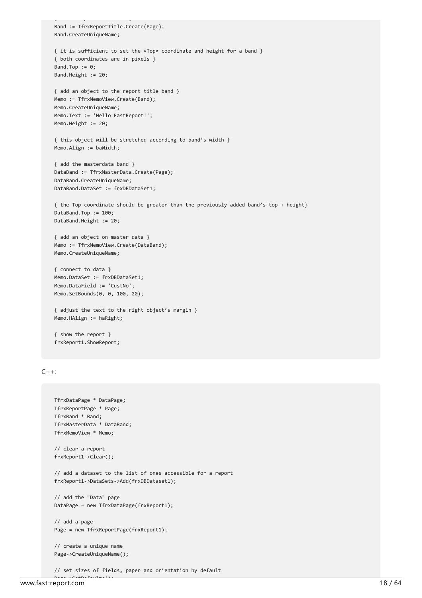```
{ add a report title band}
    Band := TfrxReportTitle.Create(Page);
    Band.CreateUniqueName;
    { it is sufficient to set the «Top» coordinate and height for a band }
    { both coordinates are in pixels }
    Band.Top := 0;Band.Height := 20;
    { add an object to the report title band }
    Memo := TfrxMemoView.Create(Band);
    Memo.CreateUniqueName;
    Memo.Text := 'Hello FastReport!';
    Memo.Height := 20;
    { this object will be stretched according to band's width }
    Memo.Align := baWidth;
    { add the masterdata band }
    DataBand := TfrxMasterData.Create(Page);
    DataBand.CreateUniqueName;
    DataBand.DataSet := frxDBDataSet1;
    { the Top coordinate should be greater than the previously added band's top + height}
    DataBand.Top := 100;
    DataBand.Height := 20;
    { add an object on master data }
    Memo := TfrxMemoView.Create(DataBand);
    Memo.CreateUniqueName;
    { connect to data }
    Memo.DataSet := frxDBDataSet1;
    Memo.DataField := 'CustNo';
    Memo.SetBounds(0, 0, 100, 20);
    { adjust the text to the right object's margin }
    Memo.HAlign := haRight;
    { show the report }
    frxReport1.ShowReport;
C_{++}:
    TfrxDataPage * DataPage;
    TfrxReportPage * Page;
    TfrxBand * Band;
    TfrxMasterData * DataBand;
    TfrxMemoView * Memo;
```

```
// clear a report
frxReport1->Clear();
// add a dataset to the list of ones accessible for a report
frxReport1->DataSets->Add(frxDBDataset1);
// add the "Data" page
DataPage = new TfrxDataPage(frxReport1);
// add a page
Page = new TfrxReportPage(frxReport1);
// create a unique name
Page->CreateUniqueName();
```
// set sizes of fields, paper and orientation by default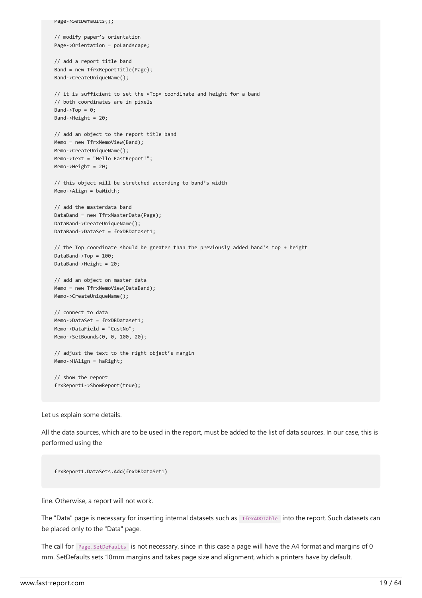```
Page->SetDefaults();
// modify paper's orientation
Page->Orientation = poLandscape;
// add a report title band
Band = new TfrxReportTitle(Page);
Band->CreateUniqueName();
// it is sufficient to set the «Top» coordinate and height for a band
// both coordinates are in pixels
Band->Top = 0;Band->Height = 20;
// add an object to the report title band
Memo = new TfrxMemoView(Band);
Memo->CreateUniqueName();
Memo->Text = "Hello FastReport!";
Memo->Height = 20;
// this object will be stretched according to band's width
Memo->Align = baWidth;
// add the masterdata band
DataBand = new TfrxMasterData(Page);
DataBand->CreateUniqueName();
DataBand->DataSet = frxDBDataset1;
// the Top coordinate should be greater than the previously added band's top + height
DataBand->Top = 100;
DataBand->Height = 20;
// add an object on master data
Memo = new TfrxMemoView(DataBand);
Memo->CreateUniqueName();
// connect to data
Memo->DataSet = frxDBDataset1;
Memo->DataField = "CustNo";
Memo->SetBounds(0, 0, 100, 20);
// adjust the text to the right object's margin
Memo->HAlign = haRight;
// show the report
frxReport1->ShowReport(true);
```
Let us explain some details.

All the data sources, which are to be used in the report, must be added to the list of data sources. In our case, this is performed using the

frxReport1.DataSets.Add(frxDBDataSet1)

line. Otherwise, a report will not work.

The "Data" page is necessary for inserting internal datasets such as TfrxADOTable into the report. Such datasets can be placed only to the"Data" page.

The call for Page. SetDefaults is not necessary, since in this case a page will have the A4 format and margins of 0 mm.SetDefaults sets 10mm margins and takes pagesizeand alignment, which a printers have by default.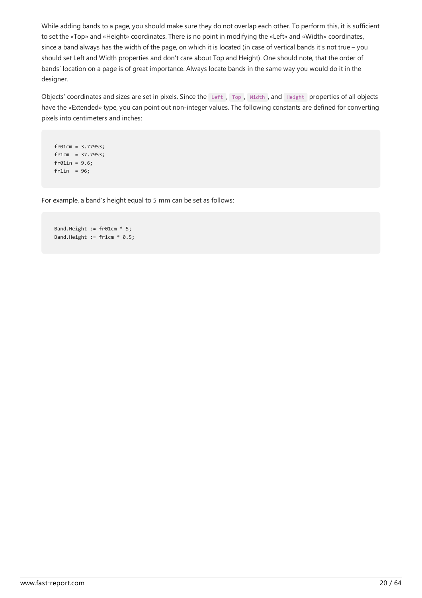While adding bands to a page, you should make sure they do not overlap each other. To perform this, it is sufficient to set the «Top» and «Height» coordinates. There is no point in modifying the «Left» and «Width» coordinates, since a band always has the width of the page, on which it is located (in case of vertical bands it's not true – you should set Left and Width properties and don't care about Top and Height). One should note, that the order of bands' location on a page is of great importance. Always locate bands in the same way you would do it in the designer.

Objects' coordinates and sizes are set in pixels. Since the Left , Top , Width , and Height properties of all objects have the «Extended» type, you can point out non-integer values. The following constants are defined for converting pixels into centimeters and inches:

```
fr01cm = 3.77953;
fr1cm = 37.7953;
fr01in = 9.6;
fr1in = 96;
```
For example, a band's height equal to 5 mm can be set as follows:

```
Band.Height := fr01cm * 5;
Band.Height := fr1cm * 0.5;
```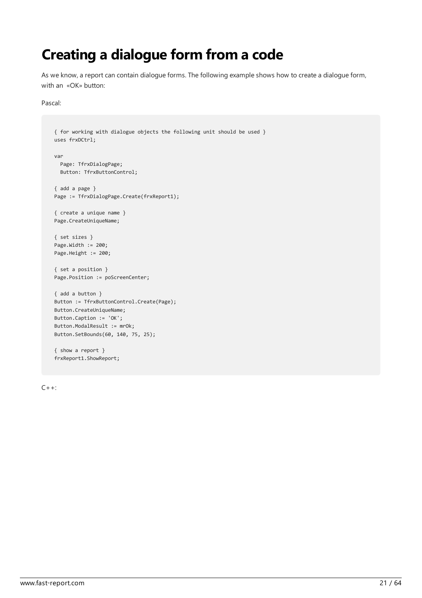### <span id="page-20-0"></span>Creating a dialogue form from a code

As we know, a report can contain dialogue forms. The following example shows how to create a dialogue form, with an «OK» button:

#### Pascal:

```
{ for working with dialogue objects the following unit should be used }
uses frxDCtrl;
var
 Page: TfrxDialogPage;
 Button: TfrxButtonControl;
{ add a page }
Page := TfrxDialogPage.Create(frxReport1);
{ create a unique name }
Page.CreateUniqueName;
{ set sizes }
Page.Width := 200;
Page.Height := 200;
{ set a position }
Page.Position := poScreenCenter;
{ add a button }
Button := TfrxButtonControl.Create(Page);
Button.CreateUniqueName;
Button.Caption := 'OK';
Button.ModalResult := mrOk;
Button.SetBounds(60, 140, 75, 25);
{ show a report }
frxReport1.ShowReport;
```
 $C++:$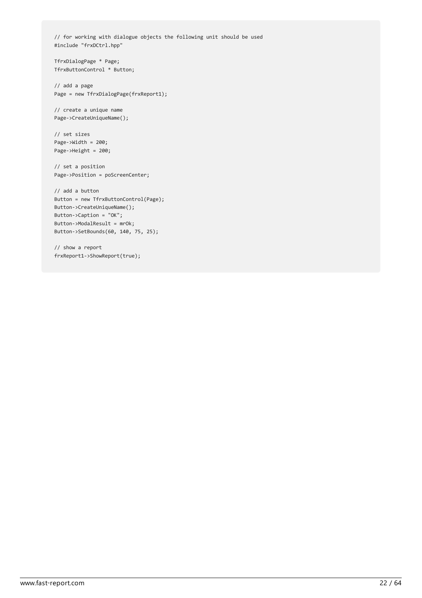// for working with dialogue objects the following unit should be used #include "frxDCtrl.hpp"

TfrxDialogPage \* Page; TfrxButtonControl \* Button;

// add a page Page = new TfrxDialogPage(frxReport1);

// create a unique name Page->CreateUniqueName();

// set sizes Page->Width = 200; Page->Height = 200;

// set a position Page->Position = poScreenCenter;

```
// add a button
Button = new TfrxButtonControl(Page);
Button->CreateUniqueName();
Button->Caption = "OK";
Button->ModalResult = mrOk;
Button->SetBounds(60, 140, 75, 25);
```
// show a report frxReport1->ShowReport(true);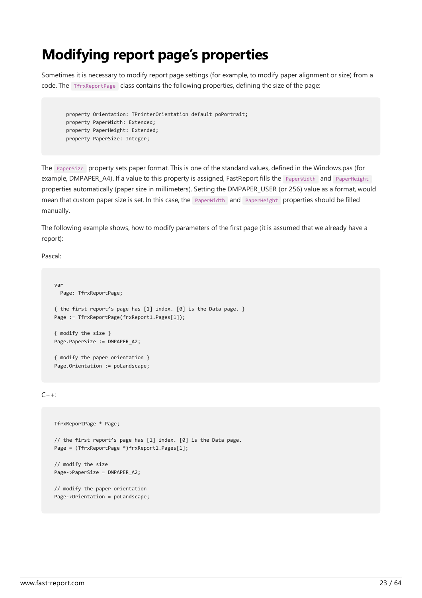### <span id="page-22-0"></span>Modifying report page's properties

Sometimes it is necessary to modify report page settings (for example, to modify paper alignment or size) from a code. The TfrxReportPage class contains the following properties, defining the size of the page:

property Orientation: TPrinterOrientation default poPortrait; property PaperWidth: Extended; property PaperHeight: Extended; property PaperSize: Integer;

The PaperSize property sets paper format. This is one of the standard values, defined in the Windows.pas (for example, DMPAPER\_A4). If a value to this property is assigned, FastReport fills the PaperWidth and PaperHeight properties automatically (paper size in millimeters). Setting the DMPAPER\_USER (or 256) value as a format, would mean that custom paper size is set. In this case, the PaperWidth and PaperHeight properties should be filled manually.

The following example shows, how to modify parameters of the first page (it is assumed that we already have a report):

Pascal:

```
var
 Page: TfrxReportPage;
{ the first report's page has [1] index. [0] is the Data page. }
Page := TfrxReportPage(frxReport1.Pages[1]);
{ modify the size }
Page.PaperSize := DMPAPER_A2;
{ modify the paper orientation }
Page.Orientation := poLandscape;
```
 $C_{++}$ :

```
TfrxReportPage * Page;
// the first report's page has [1] index. [0] is the Data page.
Page = (TfrxReportPage *)frxReport1.Pages[1];
// modify the size
Page->PaperSize = DMPAPER_A2;
// modify the paper orientation
Page->Orientation = poLandscape;
```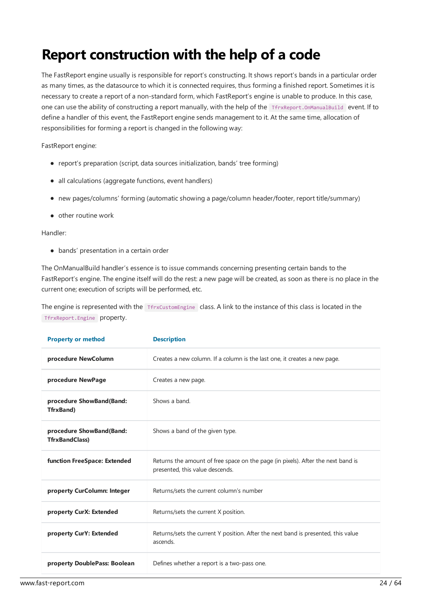### Report construction with the help of a code

The FastReport engine usually is responsible for report's constructing. It shows report's bands in a particular order as many times, as the datasource to which it is connected requires, thus forming a finished report. Sometimes it is necessary to create a report of a non-standard form, which FastReport's engine is unable to produce. In this case, one can use the ability of constructing a report manually, with the help of the TfrxReport.OnManualBuild event. If to define a handler of this event, the FastReport engine sends management to it. At the same time, allocation of responsibilities for forming a report is changed in the following way:

FastReport engine:

- report's preparation (script, data sources initialization, bands' tree forming)
- all calculations (aggregate functions, event handlers)
- new pages/columns' forming (automatic showing a page/column header/footer, report title/summary)
- $\bullet$  other routine work

#### Handler:

bands' presentation in a certain order

The OnManualBuild handler's essence is to issue commands concerning presenting certain bands to the FastReport's engine. The engine itself will do the rest: a new page will be created, as soon as there is no place in the current one; execution of scripts will be performed, etc.

The engine is represented with the TfrxCustomEngine class. A link to the instance of this class is located in the TfrxReport.Engine property.

| <b>Property or method</b>                         | <b>Description</b>                                                                                                  |  |
|---------------------------------------------------|---------------------------------------------------------------------------------------------------------------------|--|
| procedure NewColumn                               | Creates a new column. If a column is the last one, it creates a new page.                                           |  |
| procedure NewPage                                 | Creates a new page.                                                                                                 |  |
| procedure ShowBand(Band:<br><b>TfrxBand</b> )     | Shows a band.                                                                                                       |  |
| procedure ShowBand(Band:<br><b>TfrxBandClass)</b> | Shows a band of the given type.                                                                                     |  |
| function FreeSpace: Extended                      | Returns the amount of free space on the page (in pixels). After the next band is<br>presented, this value descends. |  |
| property CurColumn: Integer                       | Returns/sets the current column's number                                                                            |  |
| property CurX: Extended                           | Returns/sets the current X position.                                                                                |  |
| property CurY: Extended                           | Returns/sets the current Y position. After the next band is presented, this value<br>ascends.                       |  |
| property DoublePass: Boolean                      | Defines whether a report is a two-pass one.                                                                         |  |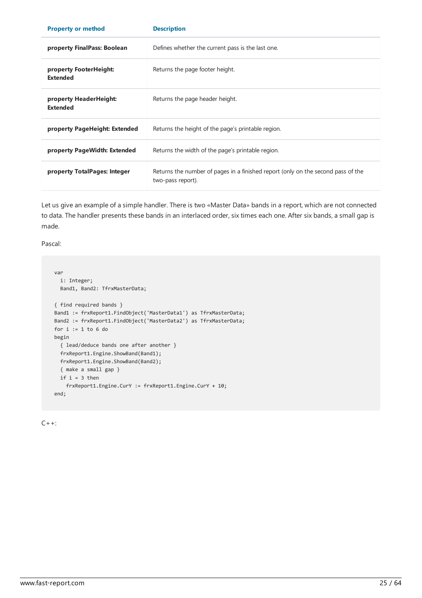<span id="page-24-0"></span>

| <b>Property or method</b>                 | <b>Description</b>                                                                                    |  |
|-------------------------------------------|-------------------------------------------------------------------------------------------------------|--|
| property FinalPass: Boolean               | Defines whether the current pass is the last one.                                                     |  |
| property FooterHeight:<br><b>Extended</b> | Returns the page footer height.                                                                       |  |
| property HeaderHeight:<br><b>Extended</b> | Returns the page header height.                                                                       |  |
| property PageHeight: Extended             | Returns the height of the page's printable region.                                                    |  |
| property PageWidth: Extended              | Returns the width of the page's printable region.                                                     |  |
| property TotalPages: Integer              | Returns the number of pages in a finished report (only on the second pass of the<br>two-pass report). |  |

Let us give an example of a simple handler. There is two «Master Data» bands in a report, which are not connected to data. The handler presents these bands in an interlaced order, six times each one. After six bands, a small gap is made.

Pascal:

```
var
 i: Integer;
 Band1, Band2: TfrxMasterData;
{ find required bands }
Band1 := frxReport1.FindObject('MasterData1') as TfrxMasterData;
Band2 := frxReport1.FindObject('MasterData2') as TfrxMasterData;
for i := 1 to 6 do
begin
 { lead/deduce bands one after another }
 frxReport1.Engine.ShowBand(Band1);
 frxReport1.Engine.ShowBand(Band2);
 { make a small gap }
 if i = 3 then
    frxReport1.Engine.CurY := frxReport1.Engine.CurY + 10;
end;
```
 $C++:$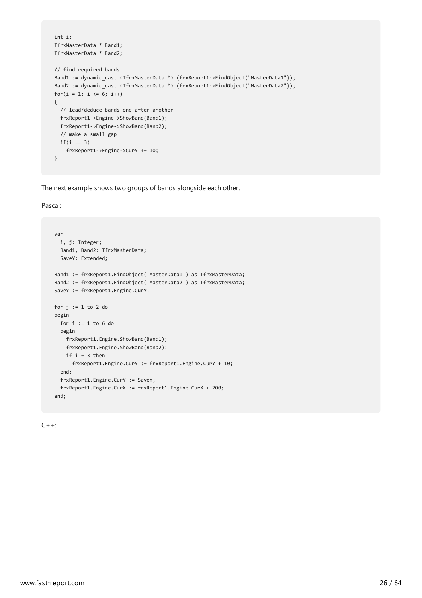```
int i;
TfrxMasterData * Band1;
TfrxMasterData * Band2;
// find required bands
Band1 := dynamic cast <TfrxMasterData *> (frxReport1->FindObject("MasterData1"));
Band2 := dynamic cast <TfrxMasterData *> (frxReport1->FindObject("MasterData2"));
for(i = 1; i \le 6; i++){
 // lead/deduce bands one after another
 frxReport1->Engine->ShowBand(Band1);
 frxReport1->Engine->ShowBand(Band2);
 // make a small gap
 if(i == 3)frxReport1->Engine->CurY += 10;
}
```
The next example shows two groups of bands alongside each other.

Pascal:

```
var
 i, j: Integer;
 Band1, Band2: TfrxMasterData;
 SaveY: Extended;
Band1 := frxReport1.FindObject('MasterData1') as TfrxMasterData;
Band2 := frxReport1.FindObject('MasterData2') as TfrxMasterData;
SaveY := frxReport1.Engine.CurY;
for j := 1 to 2 do
begin
 for i := 1 to 6 do
 begin
   frxReport1.Engine.ShowBand(Band1);
   frxReport1.Engine.ShowBand(Band2);
   if i = 3 thenfrxReport1.Engine.CurY := frxReport1.Engine.CurY + 10;
 end;
 frxReport1.Engine.CurY := SaveY;
 frxReport1.Engine.CurX := frxReport1.Engine.CurX + 200;
end;
```
 $C_{++}$ :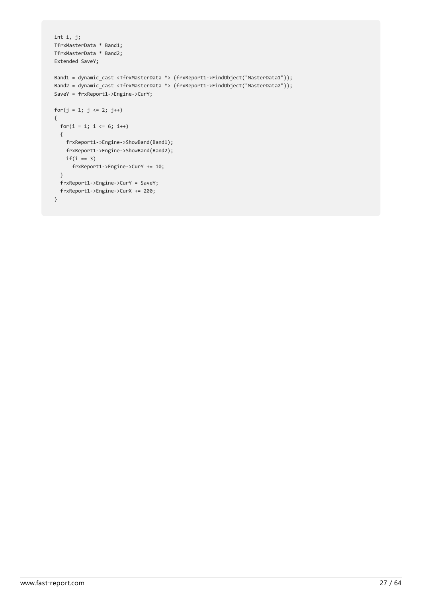```
int i, j;
TfrxMasterData * Band1;
TfrxMasterData * Band2;
Extended SaveY;
Band1 = dynamic cast <TfrxMasterData *> (frxReport1->FindObject("MasterData1"));
Band2 = dynamic_cast <TfrxMasterData *> (frxReport1->FindObject("MasterData2"));
SaveY = frxReport1->Engine->CurY;
for(j = 1; j \le 2; j++){
 for(i = 1; i <= 6; i++)
 \{frxReport1->Engine->ShowBand(Band1);
   frxReport1->Engine->ShowBand(Band2);
   if(i == 3)frxReport1->Engine->CurY += 10;
 }
 frxReport1->Engine->CurY = SaveY;
  frxReport1->Engine->CurX += 200;
}
```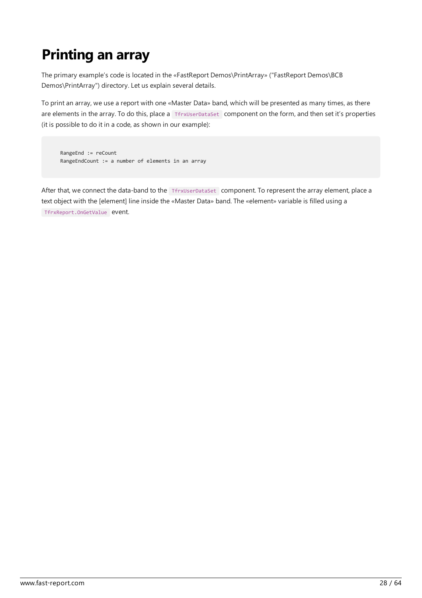# <span id="page-27-0"></span>Printing an array

The primary example's code is located in the «FastReport Demos\PrintArray» ("FastReport Demos\BCB Demos\PrintArray") directory.Let us explain several details.

To print an array, we use a report with one «Master Data» band, which will be presented as many times, as there are elements in the array. To do this, place a TfrxUserDataSet component on the form, and then set it's properties (it is possible to do it in a code, as shown in our example):

RangeEnd := reCount RangeEndCount := a number of elements in an array

After that, we connect the data-band to the TerxUserDataSet component. To represent the array element, place a text object with the [element] line inside the «Master Data» band. The «element» variable is filled using a TfrxReport.OnGetValue event.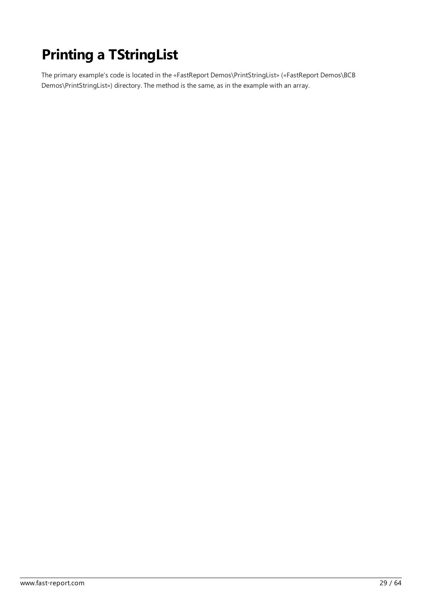# <span id="page-28-0"></span>Printing a TStringList

The primary example's code is located in the «FastReport Demos\PrintStringList» («FastReport Demos\BCB Demos\PrintStringList») directory. The method is the same, as in the example with an array.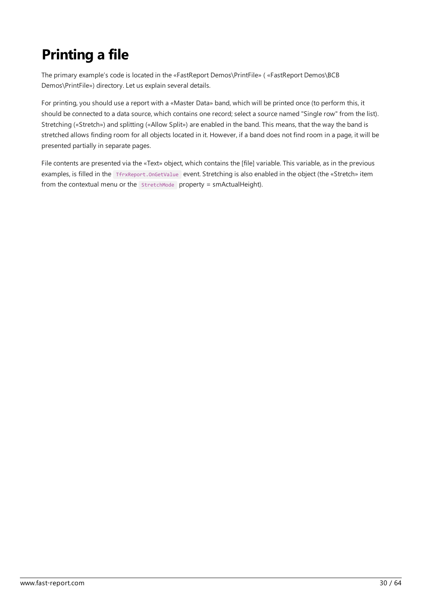# <span id="page-29-0"></span>Printing a file

The primary example's code is located in the «FastReport Demos\PrintFile» ( «FastReport Demos\BCB Demos\PrintFile») directory. Let us explain several details.

For printing,you should usea report with a «Master Data» band, which will be printed once(to perform this, it should be connected to a data source, which contains one record; select a source named "Single row" from the list). Stretching («Stretch») and splitting («Allow Split») are enabled in the band. This means, that the way the band is stretched allows finding room for all objects located in it. However, if a band does not find room in a page, it will be presented partially in separate pages.

File contents are presented via the «Text» object, which contains the [file] variable. This variable, as in the previous examples, is filled in the TfrxReport.OnGetValue event. Stretching is also enabled in the object (the «Stretch» item from the contextual menu or the  $\frac{1}{10}$  stretchMode property = smActualHeight).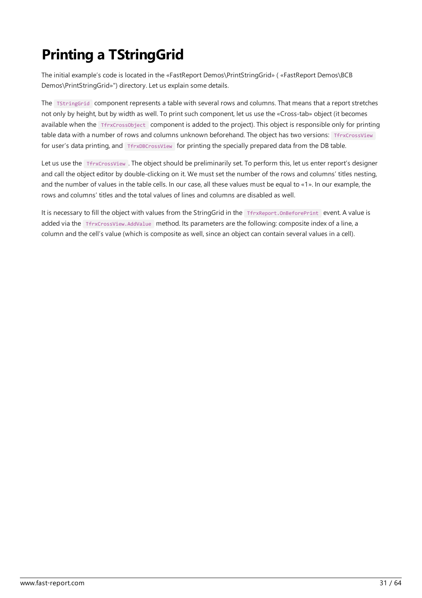# <span id="page-30-0"></span>Printing a TStringGrid

The initial example's code is located in the «FastReport Demos\PrintStringGrid» ( «FastReport Demos\BCB Demos\PrintStringGrid»") directory.Let us explain some details.

The TStringGrid component represents a table with several rows and columns. That means that a report stretches not only by height, but by width as well. To print such component, let us use the «Cross-tab» object (it becomes available when the TfrxCrossObject component is added to the project). This object is responsible only for printing table data with a number of rows and columns unknown beforehand. The object has two versions: TfrxCrossView for user's data printing, and TfrxDBCrossView for printing the specially prepared data from the DB table.

Let us use the TfrxCrossView. The object should be preliminarily set. To perform this, let us enter report's designer and call the object editor by double-clicking on it. We must set the number of the rows and columns' titles nesting, and the number of values in the table cells. In our case, all these values must be equal to «1». In our example, the rows and columns' titles and the total values of lines and columns are disabled as well.

It is necessary to fill the object with values from the StringGrid in the TfrxReport.OnBeforePrint event. A value is added via the TfrxCrossView.AddValue method. Its parameters are the following: composite index of a line, a column and the cell's value (which is composite as well, since an object can contain several values in a cell).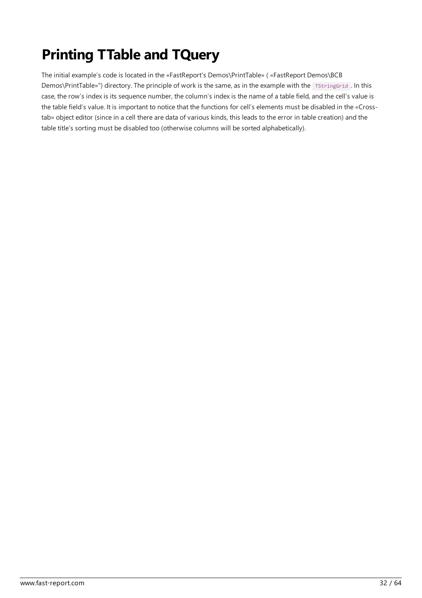# <span id="page-31-0"></span>Printing TTable and TQuery

The initial example's code is located in the «FastReport's Demos\PrintTable» ( «FastReport Demos\BCB Demos\PrintTable»") directory. The principle of work is the same, as in the example with the TStringGrid . In this case, the row's index is its sequence number, the column's index is the name of a table field, and the cell's value is the table field's value. It is important to notice that the functions for cell's elements must be disabled in the «Crosstab» object editor (since in a cell there are data of various kinds, this leads to the error in table creation) and the table title's sorting must be disabled too (otherwise columns will be sorted alphabetically).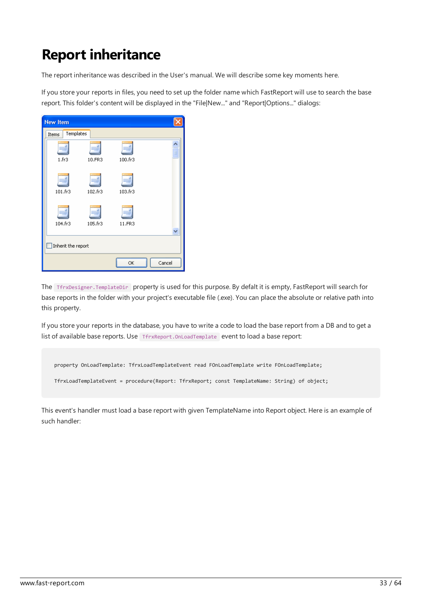# Report inheritance

The report inheritance was described in the User's manual. We will describe some key moments here.

If you store your reports in files, you need to set up the folder name which FastReport will use to search the base report. This folder's content will be displayed in the "File|New..." and "Report|Options..." dialogs:

| <b>New Item</b>           |         |         |        |  |
|---------------------------|---------|---------|--------|--|
| Templates<br>Items        |         |         |        |  |
| $1.$ fr $3$               | 10.FR3  | 100.fr3 |        |  |
| 101.fr3                   | 102.fr3 | 103.fr3 |        |  |
| 104.fr3                   | 105.fr3 | 11.FR3  |        |  |
| $\Box$ Inherit the report |         |         |        |  |
|                           |         | ОK      | Cancel |  |

The TfrxDesigner.TemplateDir property is used for this purpose. By defalt it is empty, FastReport will search for base reports in the folder with your project's executable file (.exe). You can place the absolute or relative path into this property.

If you store your reports in the database, you have to write a code to load the base report from a DB and to get a list of available base reports. Use TfrxReport. OnLoadTemplate event to load a base report:

```
property OnLoadTemplate: TfrxLoadTemplateEvent read FOnLoadTemplate write FOnLoadTemplate;
```
TfrxLoadTemplateEvent = procedure(Report: TfrxReport; const TemplateName: String) of object;

This event's handler must load a base report with given TemplateName into Report object. Here is an example of such handler: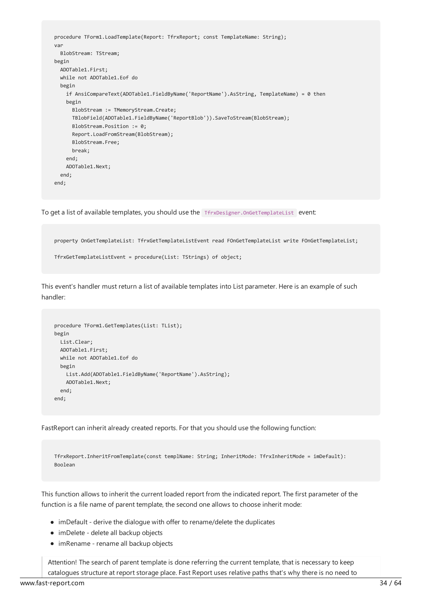```
procedure TForm1.LoadTemplate(Report: TfrxReport; const TemplateName: String);
var
 BlobStream: TStream;
begin
 ADOTable1.First;
 while not ADOTable1.Eof do
 begin
   if AnsiCompareText(ADOTable1.FieldByName('ReportName').AsString, TemplateName) = 0 then
   begin
     BlobStream := TMemoryStream.Create;
     TBlobField(ADOTable1.FieldByName('ReportBlob')).SaveToStream(BlobStream);
     BlobStream.Position := 0;
     Report.LoadFromStream(BlobStream);
     BlobStream.Free;
     break;
   end;
   ADOTable1.Next;
  end;
end;
```
To get a list of available templates, you should use the TfrxDesigner.OnGetTemplateList event:

```
property OnGetTemplateList: TfrxGetTemplateListEvent read FOnGetTemplateList write FOnGetTemplateList;
TfrxGetTemplateListEvent = procedure(List: TStrings) of object;
```
This event's handler must return a list of available templates into List parameter. Here is an example of such handler:

```
procedure TForm1.GetTemplates(List: TList);
begin
 List.Clear;
 ADOTable1.First;
 while not ADOTable1.Eof do
 begin
   List.Add(ADOTable1.FieldByName('ReportName').AsString);
   ADOTable1.Next;
 end;
end;
```
FastReport can inherit already created reports. For that you should use the following function:

TfrxReport.InheritFromTemplate(const templName: String; InheritMode: TfrxInheritMode = imDefault): Boolean

This function allows to inherit the current loaded report from the indicated report. The first parameter of the function is a file name of parent template, the second one allows to choose inherit mode:

- $\bullet$  imDefault derive the dialogue with offer to rename/delete the duplicates
- imDelete delete all backup objects
- imRename rename all backup objects

Attention! The search of parent template is done referring the current template, that is necessary to keep catalogues structure at report storage place. Fast Report uses relative paths that's why there is no need to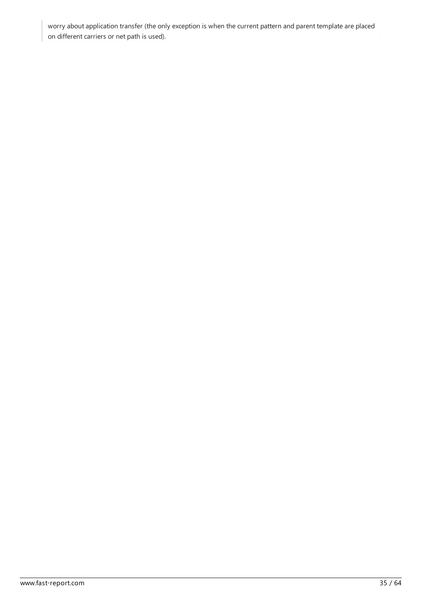worry about application transfer (the only exception is when the current pattern and parent template are placed on different carriers or net path is used).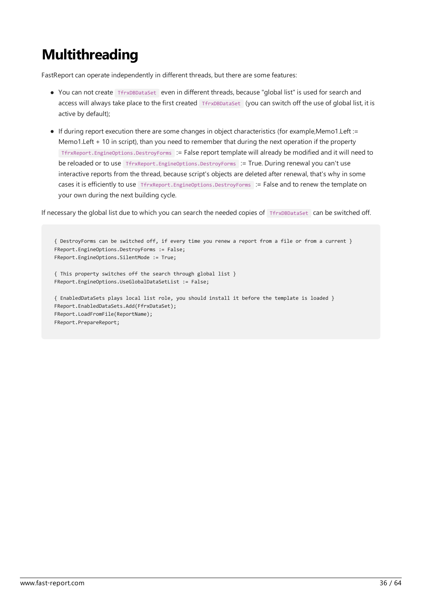# <span id="page-35-0"></span>**Multithreading**

FastReport can operate independently in different threads, but there are some features:

- You can not create TfrxDBDataSet even in different threads, because "global list" is used for search and access will always take place to the first created TfrxDBDataSet (you can switch off the use of global list, it is active by default);
- $\bullet$  If during report execution there are some changes in object characteristics (for example,Memo1.Left := Memo1.Left + 10 in script), than you need to remember that during the next operation if the property TfrxReport.EngineOptions.DestroyForms := Falsereport template will already be modified and it will need to be reloaded or to use TfrxReport.EngineOptions.DestroyForms := True. During renewal you can't use interactive reports from the thread, because script's objects are deleted after renewal, that's why in some cases it is efficiently to use TfrxReport.EngineOptions.DestroyForms := False and to renew the template on your own during the next building cycle.

If necessary the global list due to which you can search the needed copies of TfrxDBDataSet can be switched off.

```
{ DestroyForms can be switched off, if every time you renew a report from a file or from a current }
FReport.EngineOptions.DestroyForms := False;
FReport.EngineOptions.SilentMode := True;
{ This property switches off the search through global list }
FReport.EngineOptions.UseGlobalDataSetList := False;
{ EnabledDataSets plays local list role, you should install it before the template is loaded }
FReport.EnabledDataSets.Add(FfrxDataSet);
FReport.LoadFromFile(ReportName);
FReport.PrepareReport;
```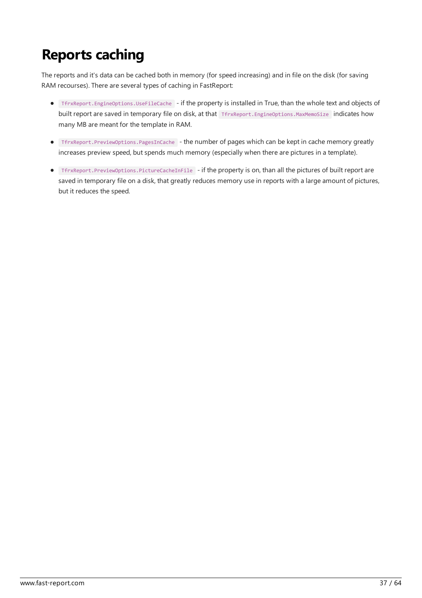### <span id="page-36-0"></span>Reports caching

The reports and it's data can be cached both in memory (for speed increasing) and in file on the disk (for saving RAM recourses). There are several types of caching in FastReport:

- TfrxReport.EngineOptions.UseFileCache if the property is installed in True, than the wholetextand objects of built report are saved in temporary file on disk, at that TfrxReport.EngineOptions.MaxMemoSize indicates how many MB are meant for the template in RAM.
- **•** TfrxReport.PreviewOptions.PagesInCache the number of pages which can be kept in cache memory greatly increases preview speed, but spends much memory (especially when there are pictures in a template).
- TfrxReport.PreviewOptions.PictureCacheInFile if the property is on, than all the pictures of built reportare saved in temporary file on a disk, that greatly reduces memory use in reports with a large amount of pictures, but it reduces the speed.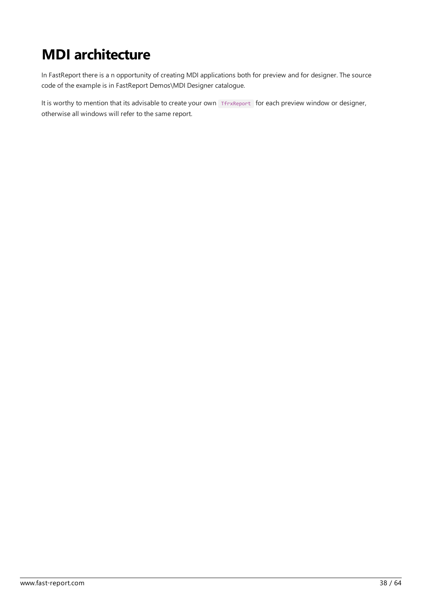# <span id="page-37-0"></span>MDI architecture

In FastReport there is a n opportunity of creating MDI applications both for preview and for designer. The source code of the example is in FastReport Demos\MDI Designer catalogue.

It is worthy to mention that its advisable to create your own TfrxReport for each preview window or designer, otherwise all windows will refer to the same report.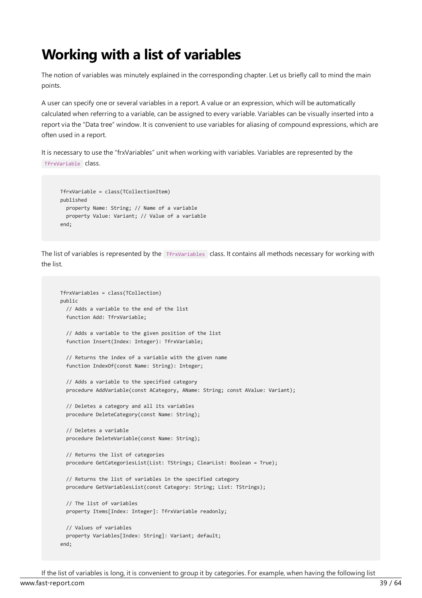#### Working with a list of variables

The notion of variables was minutely explained in the corresponding chapter. Let us briefly call to mind the main points.

A user can specify one or several variables in a report. A value or an expression, which will be automatically calculated when referring to a variable, can be assigned to every variable. Variables can be visually inserted into a report via the "Data tree" window. It is convenient to use variables for aliasing of compound expressions, which are often used in a report.

It is necessary to use the "frxVariables" unit when working with variables. Variables are represented by the TfrxVariable class.

```
TfrxVariable = class(TCollectionItem)
published
 property Name: String; // Name of a variable
 property Value: Variant; // Value of a variable
end;
```
The list of variables is represented by the TfrxVariables class. It contains all methods necessary for working with the list.

```
TfrxVariables = class(TCollection)
public
  // Adds a variable to the end of the list
 function Add: TfrxVariable;
  // Adds a variable to the given position of the list
  function Insert(Index: Integer): TfrxVariable;
  // Returns the index of a variable with the given name
 function IndexOf(const Name: String): Integer;
  // Adds a variable to the specified category
  procedure AddVariable(const ACategory, AName: String; const AValue: Variant);
  // Deletes a category and all its variables
  procedure DeleteCategory(const Name: String);
  // Deletes a variable
  procedure DeleteVariable(const Name: String);
  // Returns the list of categories
  procedure GetCategoriesList(List: TStrings; ClearList: Boolean = True);
  // Returns the list of variables in the specified category
 procedure GetVariablesList(const Category: String; List: TStrings);
  // The list of variables
  property Items[Index: Integer]: TfrxVariable readonly;
  // Values of variables
  property Variables[Index: String]: Variant; default;
end;
```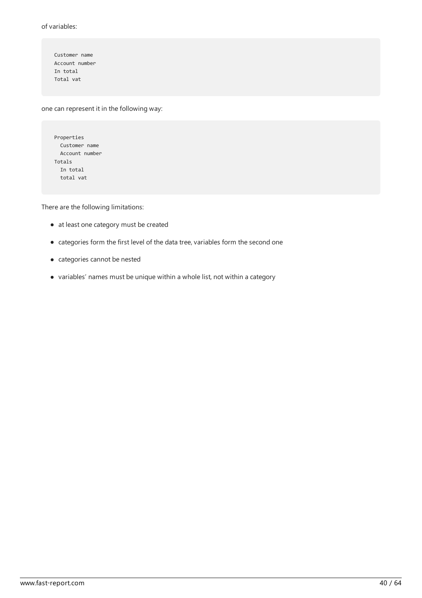of variables:

Customer name Account number In total Total vat

one can represent it in the following way:

| Properties     |  |  |  |  |
|----------------|--|--|--|--|
| Customer name  |  |  |  |  |
| Account number |  |  |  |  |
| Totals         |  |  |  |  |
| In total       |  |  |  |  |
| total vat      |  |  |  |  |

There are the following limitations:

- $\bullet$  at least one category must be created
- $\bullet\,$  categories form the first level of the data tree, variables form the second one
- categories cannot be nested
- variables' names must be unique within a wholelist, not within a category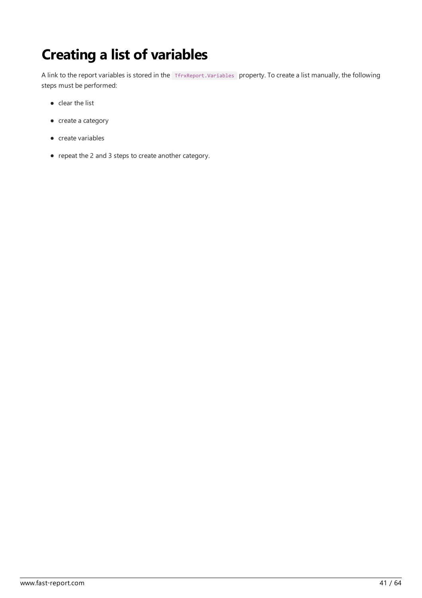# Creating a list of variables

A link to the report variables is stored in the TfrxReport.Variables property. To create a list manually, the following steps must be performed:

- $\bullet$  clear the list
- $\bullet$  create a category
- $\bullet$  create variables
- repeat the 2 and 3 steps to create another category.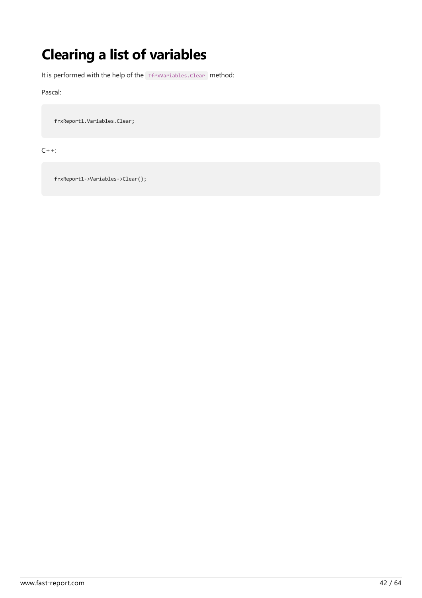# Clearing a list of variables

It is performed with the help of the TfrxVariables.Clear method:

Pascal:

frxReport1.Variables.Clear;

C++:

frxReport1->Variables->Clear();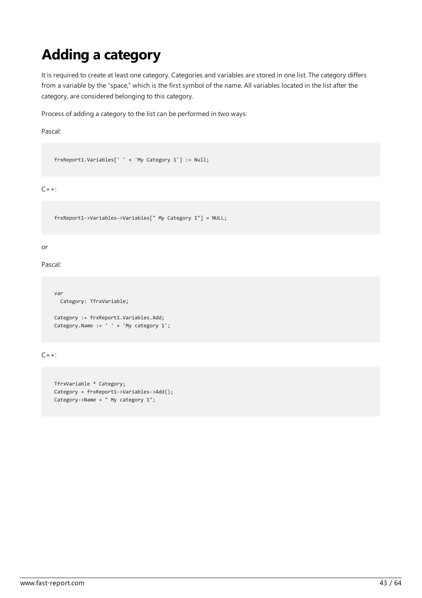# Adding a category

It is required to create at least one category. Categories and variables are stored in one list. The category differs from a variable by the "space," which is the first symbol of the name. All variables located in the list after the category, are considered belonging to this category.

Process of adding a category to the list can be performed in two ways:

Pascal:

frxReport1.Variables[' ' + 'My Category 1'] := Null;

 $C++:$ 

frxReport1->Variables->Variables[" My Category 1"] = NULL;

or

Pascal:

```
var
 Category: TfrxVariable;
Category := frxReport1.Variables.Add;
Category.Name := ' ' + 'My category 1';
```
 $C++:$ 

```
TfrxVariable * Category;
Category = frxReport1->Variables->Add();
Category->Name = " My category 1";
```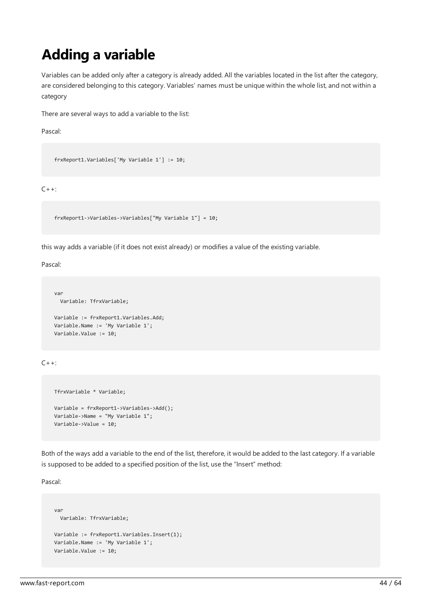# Adding a variable

Variables can be added only after a category is already added. All the variables located in the list after the category, are considered belonging to this category. Variables' names must be unique within the whole list, and not within a category

There are several ways to add a variable to the list:

Pascal:

```
frxReport1.Variables['My Variable 1'] := 10;
```
 $C++:$ 

frxReport1->Variables->Variables["My Variable 1"] = 10;

this way adds a variable (if it does not exist already) or modifies a value of the existing variable.

Pascal:

```
var
 Variable: TfrxVariable;
Variable := frxReport1.Variables.Add;
Variable.Name := 'My Variable 1';
Variable.Value := 10;
```
 $C_{++}$ :

```
TfrxVariable * Variable;
Variable = frxReport1->Variables->Add();
Variable->Name = "My Variable 1";
Variable->Value = 10;
```
Both of the ways add a variable to the end of the list, therefore, it would be added to the last category. If a variable is supposed to be added to a specified position of the list, use the "Insert" method:

Pascal:

```
var
 Variable: TfrxVariable;
Variable := frxReport1.Variables.Insert(1);
Variable.Name := 'My Variable 1';
Variable.Value := 10;
```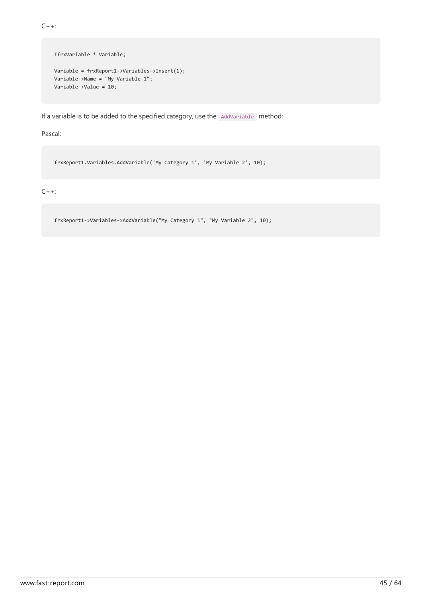$C++:$ 

```
TfrxVariable * Variable;
Variable = frxReport1->Variables->Insert(1);
Variable->Name = "My Variable 1";
Variable->Value = 10;
```
If a variable is to be added to the specified category, use the AddVariable method:

Pascal:

frxReport1.Variables.AddVariable('My Category 1', 'My Variable 2', 10);

#### $C++:$

frxReport1->Variables->AddVariable("My Category 1", "My Variable 2", 10);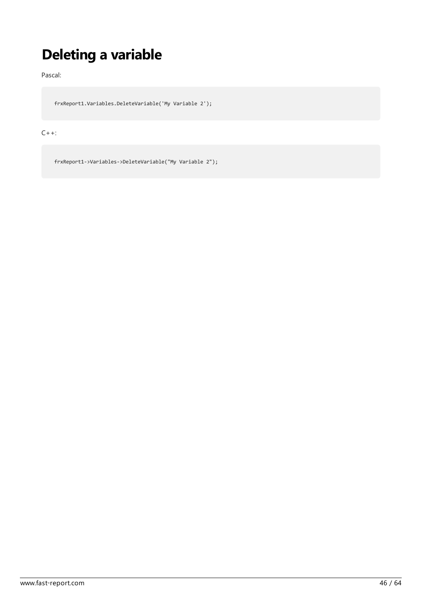# Deleting a variable

Pascal:

frxReport1.Variables.DeleteVariable('My Variable 2');

 $C++:$ 

frxReport1->Variables->DeleteVariable("My Variable 2");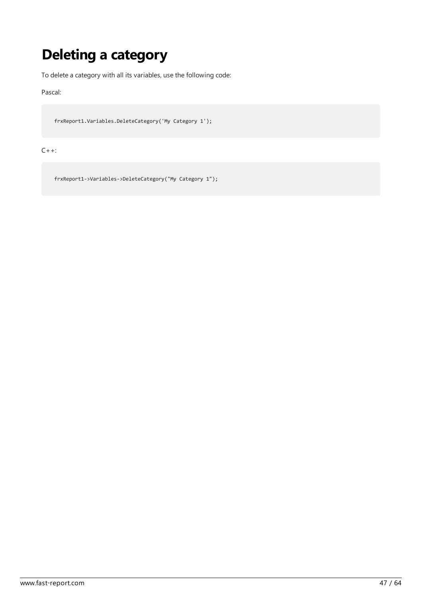# Deleting a category

To delete a category with all its variables, use the following code:

Pascal:

frxReport1.Variables.DeleteCategory('My Category 1');

C++:

frxReport1->Variables->DeleteCategory("My Category 1");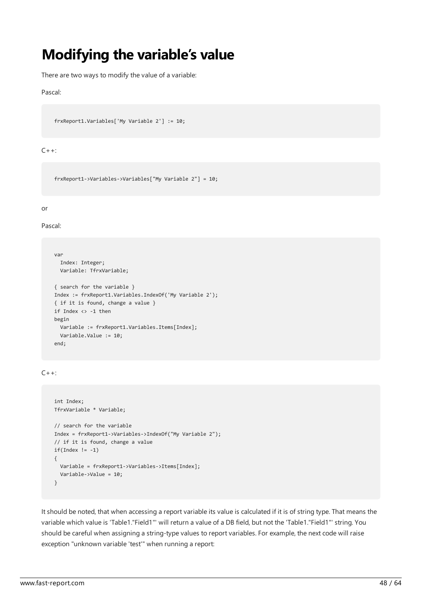### Modifying the variable's value

There are two ways to modify the value of a variable:

#### Pascal:

frxReport1.Variables['My Variable 2'] := 10;

#### $C++:$

frxReport1->Variables->Variables["My Variable 2"] = 10;

#### or

Pascal:

```
var
 Index: Integer;
 Variable: TfrxVariable;
{ search for the variable }
Index := frxReport1.Variables.IndexOf('My Variable 2');
{ if it is found, change a value }
if Index <> -1 then
begin
 Variable := frxReport1.Variables.Items[Index];
 Variable.Value := 10;
end;
```
 $C++:$ 

```
int Index;
TfrxVariable * Variable;
// search for the variable
Index = frxReport1->Variables->IndexOf("My Variable 2");
// if it is found, change a value
if(Index != -1){
 Variable = frxReport1->Variables->Items[Index];
  Variable->Value = 10;
}
```
It should be noted, that when accessing a report variable its value is calculated if it is of string type. That means the variable which value is 'Table1."Field1"' will return a value of a DB field, but not the 'Table1."Field1"' string. You should be careful when assigning a string-type values to report variables. For example, the next code will raise exception "unknown variable'test'" when running a report: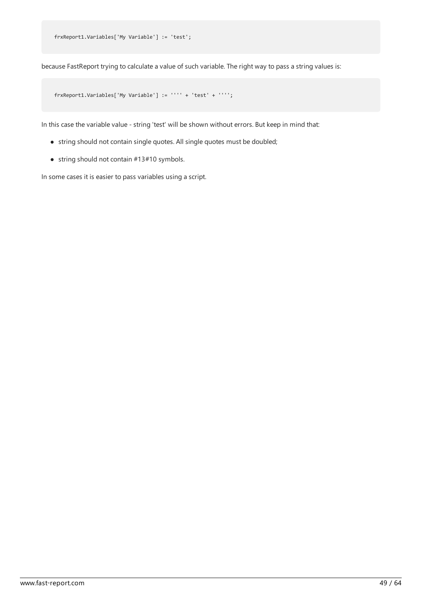frxReport1.Variables['My Variable'] := 'test';

because FastReport trying to calculate a value of such variable. The right way to pass a string values is:

frxReport1.Variables['My Variable'] := '''' + 'test' + '''';

In this case the variable value - string 'test' will be shown without errors. But keep in mind that:

- string should not contain single quotes. All single quotes must be doubled;
- $\bullet$  string should not contain  $#13#10$  symbols.

In some cases it is easier to pass variables using a script.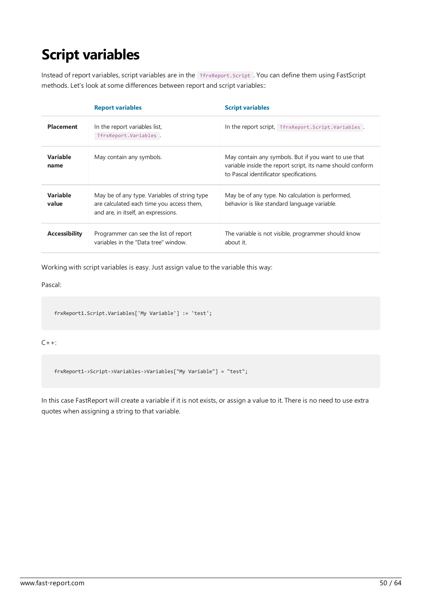# Script variables

Instead of report variables, script variables are in the TfrxReport.Script . You can define them using FastScript methods. Let's look at some differences between report and script variables::

|                         | <b>Report variables</b>                                                                                                          | <b>Script variables</b>                                                                                                                                       |
|-------------------------|----------------------------------------------------------------------------------------------------------------------------------|---------------------------------------------------------------------------------------------------------------------------------------------------------------|
| <b>Placement</b>        | In the report variables list,<br>TfrxReport.Variables.                                                                           | In the report script, TfrxReport.Script.Variables.                                                                                                            |
| <b>Variable</b><br>name | May contain any symbols.                                                                                                         | May contain any symbols. But if you want to use that<br>variable inside the report script, its name should conform<br>to Pascal identificator specifications. |
| Variable<br>value       | May be of any type. Variables of string type<br>are calculated each time you access them,<br>and are, in itself, an expressions. | May be of any type. No calculation is performed,<br>behavior is like standard language variable.                                                              |
| <b>Accessibility</b>    | Programmer can see the list of report<br>variables in the "Data tree" window.                                                    | The variable is not visible, programmer should know<br>about it.                                                                                              |

Working with script variables is easy. Just assign value to the variable this way:

Pascal:

frxReport1.Script.Variables['My Variable'] := 'test';

 $C++:$ 

frxReport1->Script->Variables->Variables["My Variable"] = "test";

In this case FastReport will create a variable if it is not exists, or assign a value to it. There is no need to use extra quotes when assigning a string to that variable.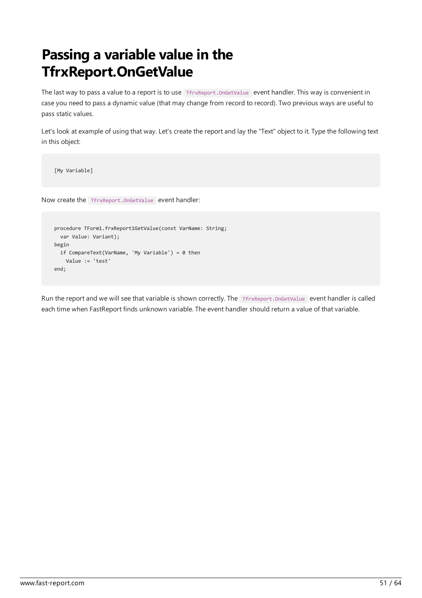# Passing a variable value in the TfrxReport.OnGetValue

The last way to pass a value to a report is to use TfrxReport.OnGetValue event handler. This way is convenient in case you need to pass a dynamic value (that may change from record to record). Two previous ways are useful to pass static values.

Let's look at example of using that way. Let's create the report and lay the "Text" object to it. Type the following text in this object:

[My Variable]

Now create the TfrxReport.OnGetValue event handler:

```
procedure TForm1.frxReport1GetValue(const VarName: String;
 var Value: Variant);
begin
 if CompareText(VarName, 'My Variable') = 0 then
   Value := 'test'
end;
```
Run the report and we will see that variable is shown correctly. The TfrxReport.OnGetValue event handler is called each time when FastReport finds unknown variable. The event handler should return a value of that variable.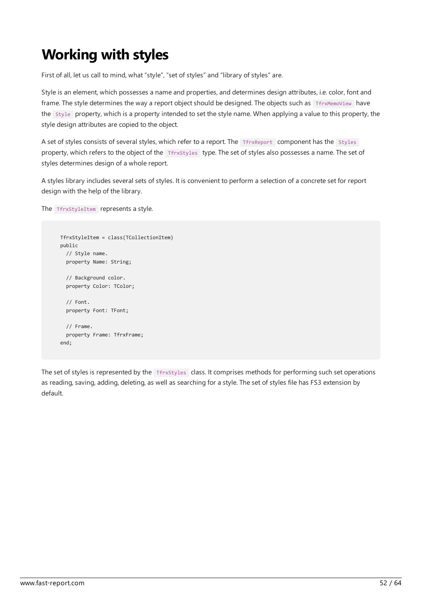# Working with styles

First of all, let us call to mind, what "style", "set of styles" and "library of styles" are.

Style is an element, which possesses a name and properties, and determines design attributes, i.e. color, font and frame. The style determines the way a report object should be designed. The objects such as TfrxMemoView have the Style property, which is a property intended to set thestyle name.When applying a valueto this property, the style design attributes are copied to the object.

A set of styles consists of several styles, which refer to a report. The TfrxReport component has the Styles property, which refers to the object of the TfrxStyles type. The set of styles also possesses a name. The set of styles determines design of a whole report.

A styles library includes several sets of styles. It is convenient to perform a selection of a concreteset for report design with the help of the library.

The **TfrxStyleItem** represents a style.

```
TfrxStyleItem = class(TCollectionItem)
public
 // Style name.
 property Name: String;
 // Background color.
 property Color: TColor;
 // Font.
 property Font: TFont;
 // Frame.
  property Frame: TfrxFrame;
end;
```
The set of styles is represented by the TfrxStyles class. It comprises methods for performing such set operations as reading, saving, adding, deleting, as well as searching for a style. The set of styles file has FS3 extension by default.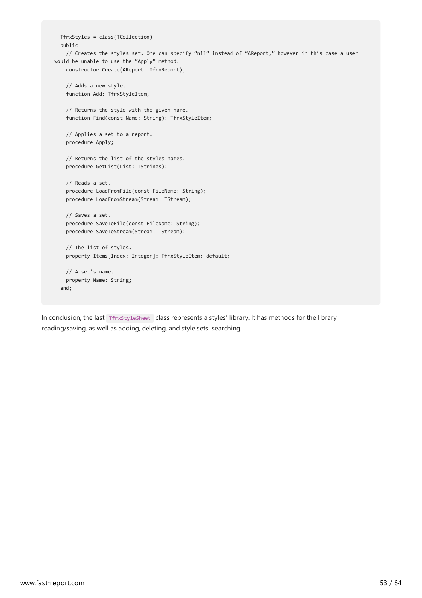```
TfrxStyles = class(TCollection)
 public
    // Creates the styles set. One can specify "nil" instead of "AReport," however in this case a user
would be unable to use the "Apply" method.
   constructor Create(AReport: TfrxReport);
    // Adds a new style.
   function Add: TfrxStyleItem;
    // Returns the style with the given name.
   function Find(const Name: String): TfrxStyleItem;
    // Applies a set to a report.
   procedure Apply;
   // Returns the list of the styles names.
    procedure GetList(List: TStrings);
    // Reads a set.
    procedure LoadFromFile(const FileName: String);
    procedure LoadFromStream(Stream: TStream);
    // Saves a set.
    procedure SaveToFile(const FileName: String);
   procedure SaveToStream(Stream: TStream);
   // The list of styles.
   property Items[Index: Integer]: TfrxStyleItem; default;
   // A set's name.
   property Name: String;
  end;
```
In conclusion, the last TfrxStyleSheet class represents a styles' library. It has methods for the library reading/saving, as well as adding, deleting, and style sets' searching.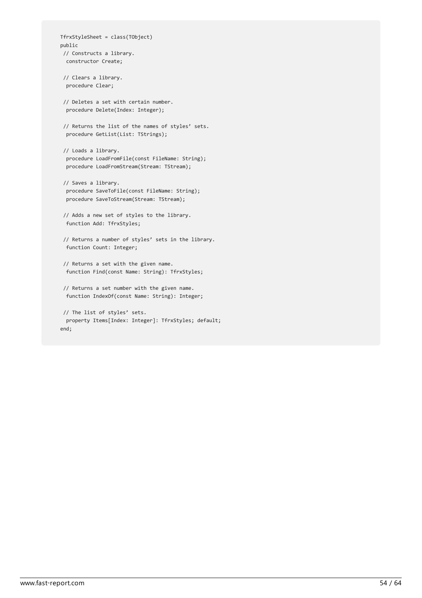```
TfrxStyleSheet = class(TObject)
public
// Constructs a library.
 constructor Create;
// Clears a library.
 procedure Clear;
// Deletes a set with certain number.
 procedure Delete(Index: Integer);
// Returns the list of the names of styles' sets.
 procedure GetList(List: TStrings);
// Loads a library.
 procedure LoadFromFile(const FileName: String);
 procedure LoadFromStream(Stream: TStream);
 // Saves a library.
  procedure SaveToFile(const FileName: String);
 procedure SaveToStream(Stream: TStream);
 // Adds a new set of styles to the library.
 function Add: TfrxStyles;
 // Returns a number of styles' sets in the library.
 function Count: Integer;
 // Returns a set with the given name.
 function Find(const Name: String): TfrxStyles;
// Returns a set number with the given name.
 function IndexOf(const Name: String): Integer;
```

```
// The list of styles' sets.
 property Items[Index: Integer]: TfrxStyles; default;
end;
```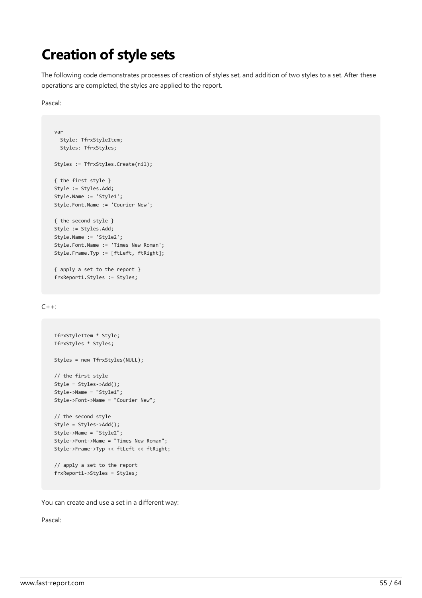### Creation of style sets

The following code demonstrates processes of creation of styles set, and addition of two styles to a set. After these operations are completed, the styles are applied to the report.

Pascal:

```
var
 Style: TfrxStyleItem;
 Styles: TfrxStyles;
Styles := TfrxStyles.Create(nil);
{ the first style }
Style := Styles.Add;
Style.Name := 'Style1';
Style.Font.Name := 'Courier New';
{ the second style }
Style := Styles.Add;
Style.Name := 'Style2';
Style.Font.Name := 'Times New Roman';
Style.Frame.Typ := [ftLeft, ftRight];
```

```
{ apply a set to the report }
frxReport1.Styles := Styles;
```
#### $C++:$

```
TfrxStyleItem * Style;
TfrxStyles * Styles;
Styles = new TfrxStyles(NULL);
// the first style
Style = Styles->Add();
Style->Name = "Style1";
Style->Font->Name = "Courier New";
// the second style
Style = Styles->Add();
Style->Name = "Style2";
Style->Font->Name = "Times New Roman";
Style->Frame->Typ << ftLeft << ftRight;
// apply a set to the report
frxReport1->Styles = Styles;
```
You can create and use a set in a different way:

Pascal: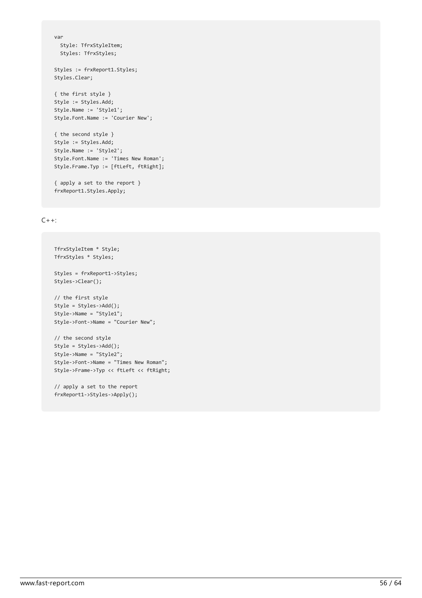```
var
 Style: TfrxStyleItem;
 Styles: TfrxStyles;
```
Styles := frxReport1.Styles; Styles.Clear;

```
{ the first style }
Style := Styles.Add;
Style.Name := 'Style1';
Style.Font.Name := 'Courier New';
```

```
{ the second style }
Style := Styles.Add;
Style.Name := 'Style2';
Style.Font.Name := 'Times New Roman';
Style.Frame.Typ := [ftLeft, ftRight];
```

```
{ apply a set to the report }
frxReport1.Styles.Apply;
```
#### $C++:$

```
TfrxStyleItem * Style;
TfrxStyles * Styles;
Styles = frxReport1->Styles;
Styles->Clear();
// the first style
Style = Styles->Add();
Style->Name = "Style1";
Style->Font->Name = "Courier New";
// the second style
Style = Styles->Add();
Style->Name = "Style2";
Style->Font->Name = "Times New Roman";
Style->Frame->Typ << ftLeft << ftRight;
```

```
// apply a set to the report
frxReport1->Styles->Apply();
```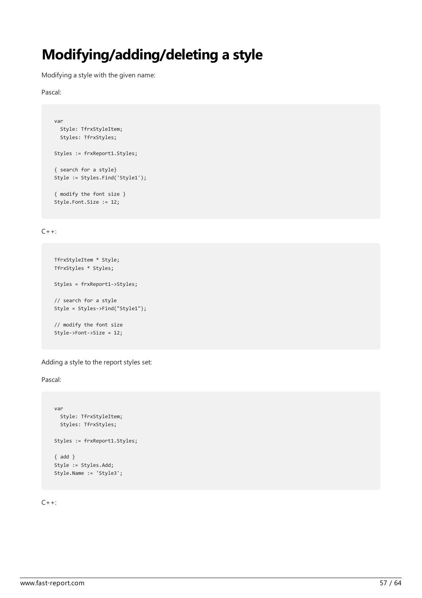### Modifying/adding/deleting a style

Modifying a style with the given name:

Pascal:

```
var
 Style: TfrxStyleItem;
 Styles: TfrxStyles;
Styles := frxReport1.Styles;
{ search for a style}
Style := Styles.Find('Style1');
{ modify the font size }
Style.Font.Size := 12;
```
 $C++:$ 

```
TfrxStyleItem * Style;
TfrxStyles * Styles;
Styles = frxReport1->Styles;
// search for a style
Style = Styles->Find("Style1");
// modify the font size
Style->Font->Size = 12;
```
Adding a style to the report styles set:

Pascal:

```
var
 Style: TfrxStyleItem;
 Styles: TfrxStyles;
Styles := frxReport1.Styles;
{ add }
Style := Styles.Add;
Style.Name := 'Style3';
```
 $C++:$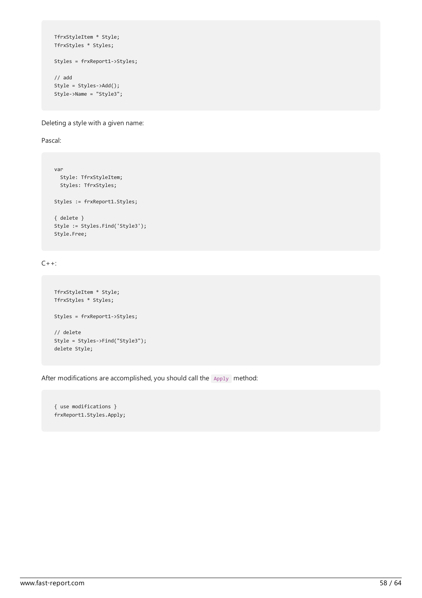```
TfrxStyleItem * Style;
TfrxStyles * Styles;
Styles = frxReport1->Styles;
// add
Style = Styles->Add();
Style->Name = "Style3";
```
Deleting a style with a given name:

Pascal:

```
var
  Style: TfrxStyleItem;
  Styles: TfrxStyles;
Styles := frxReport1.Styles;
{ delete }
Style := Styles.Find('Style3');
 Style.Free;
```
 $C++:$ 

```
TfrxStyleItem * Style;
TfrxStyles * Styles;
Styles = frxReport1->Styles;
// delete
Style = Styles->Find("Style3");
delete Style;
```
After modifications are accomplished, you should call the Apply method:

{ use modifications } frxReport1.Styles.Apply;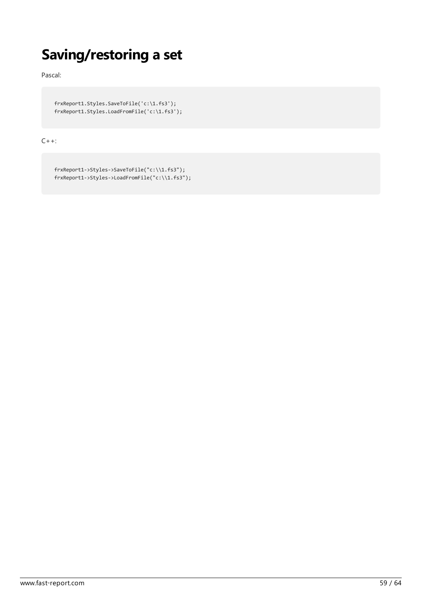### Saving/restoring a set

Pascal:

frxReport1.Styles.SaveToFile('c:\1.fs3'); frxReport1.Styles.LoadFromFile('c:\1.fs3');

 $C++:$ 

```
frxReport1->Styles->SaveToFile("c:\\1.fs3");
frxReport1->Styles->LoadFromFile("c:\\1.fs3");
```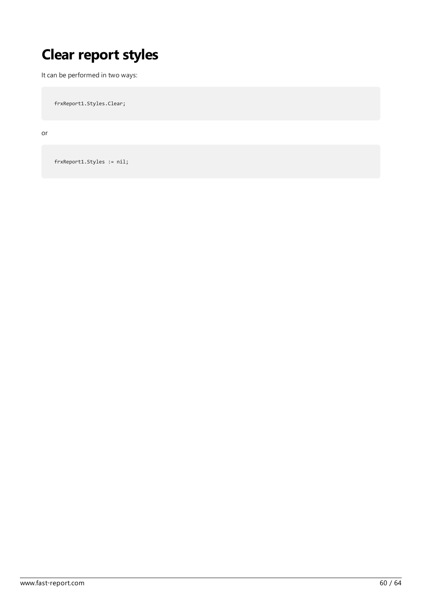# Clear report styles

It can be performed in two ways:

frxReport1.Styles.Clear;

or

frxReport1.Styles := nil;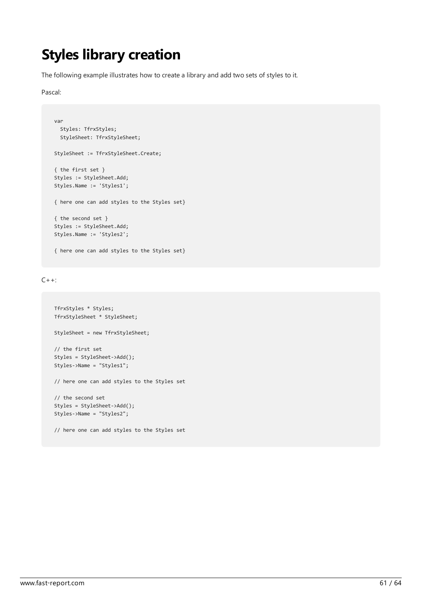#### Styles library creation

The following example illustrates how to create a library and add two sets of styles to it.

Pascal:

```
var
 Styles: TfrxStyles;
 StyleSheet: TfrxStyleSheet;
StyleSheet := TfrxStyleSheet.Create;
{ the first set }
Styles := StyleSheet.Add;
Styles.Name := 'Styles1';
{ here one can add styles to the Styles set}
{ the second set }
Styles := StyleSheet.Add;
Styles.Name := 'Styles2';
{ here one can add styles to the Styles set}
```
 $C++:$ 

```
TfrxStyles * Styles;
TfrxStyleSheet * StyleSheet;
StyleSheet = new TfrxStyleSheet;
// the first set
Styles = StyleSheet->Add();
Styles->Name = "Styles1";
// here one can add styles to the Styles set
// the second set
Styles = StyleSheet->Add();
Styles->Name = "Styles2";
// here one can add styles to the Styles set
```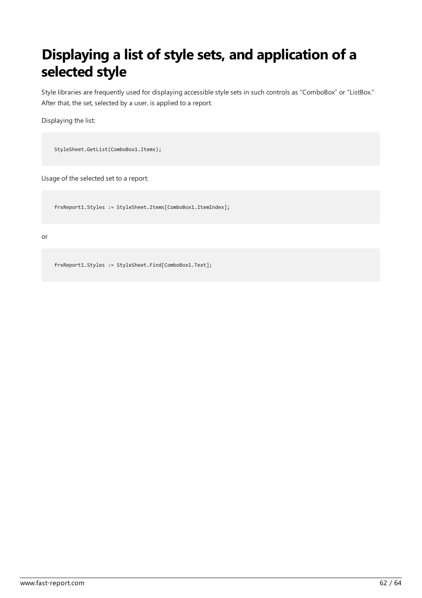# Displaying a list of style sets, and application of a selected style

Style libraries are frequently used for displaying accessible style sets in such controls as "ComboBox" or "ListBox." After that, the set, selected by a user, is applied to a report.

Displaying the list:

StyleSheet.GetList(ComboBox1.Items);

Usage of the selected set to a report:

frxReport1.Styles := StyleSheet.Items[ComboBox1.ItemIndex];

or

frxReport1.Styles := StyleSheet.Find[ComboBox1.Text];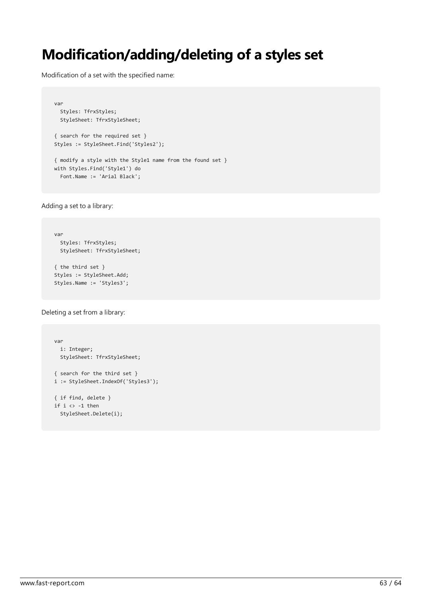### Modification/adding/deleting of a styles set

Modification of a set with the specified name:

```
var
 Styles: TfrxStyles;
 StyleSheet: TfrxStyleSheet;
{ search for the required set }
Styles := StyleSheet.Find('Styles2');
{ modify a style with the Style1 name from the found set }
with Styles.Find('Style1') do
```
Adding a set to a library:

```
var
 Styles: TfrxStyles;
 StyleSheet: TfrxStyleSheet;
{ the third set }
Styles := StyleSheet.Add;
Styles.Name := 'Styles3';
```
Font.Name := 'Arial Black';

Deleting a set from a library:

```
var
 i: Integer;
 StyleSheet: TfrxStyleSheet;
{ search for the third set }
i := StyleSheet.IndexOf('Styles3');
{ if find, delete }
if i \leftrightarrow -1 then
  StyleSheet.Delete(i);
```